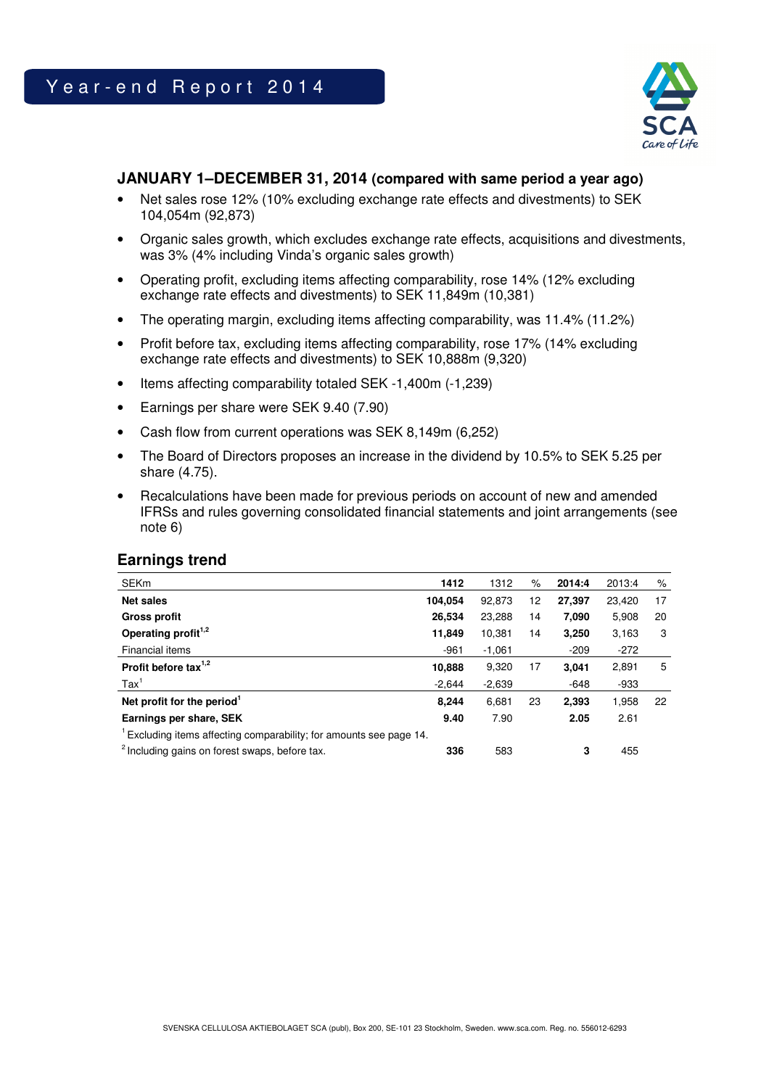

### **JANUARY 1–DECEMBER 31, 2014 (compared with same period a year ago)**

- Net sales rose 12% (10% excluding exchange rate effects and divestments) to SEK 104,054m (92,873)
- Organic sales growth, which excludes exchange rate effects, acquisitions and divestments, was 3% (4% including Vinda's organic sales growth)
- Operating profit, excluding items affecting comparability, rose 14% (12% excluding exchange rate effects and divestments) to SEK 11,849m (10,381)
- The operating margin, excluding items affecting comparability, was 11.4% (11.2%)
- Profit before tax, excluding items affecting comparability, rose 17% (14% excluding exchange rate effects and divestments) to SEK 10,888m (9,320)
- Items affecting comparability totaled SEK -1,400m (-1,239)
- Earnings per share were SEK 9.40 (7.90)
- Cash flow from current operations was SEK 8,149m (6,252)
- The Board of Directors proposes an increase in the dividend by 10.5% to SEK 5.25 per share (4.75).
- Recalculations have been made for previous periods on account of new and amended IFRSs and rules governing consolidated financial statements and joint arrangements (see note 6)

| <b>Earnings trend</b>                                                          |          |          |      |        |        |      |
|--------------------------------------------------------------------------------|----------|----------|------|--------|--------|------|
| <b>SEKm</b>                                                                    | 1412     | 1312     | $\%$ | 2014:4 | 2013:4 | $\%$ |
| <b>Net sales</b>                                                               | 104,054  | 92,873   | 12   | 27,397 | 23,420 | 17   |
| <b>Gross profit</b>                                                            | 26,534   | 23,288   | 14   | 7,090  | 5,908  | 20   |
| Operating profit <sup>1,2</sup>                                                | 11,849   | 10,381   | 14   | 3,250  | 3,163  | 3    |
| Financial items                                                                | $-961$   | $-1.061$ |      | $-209$ | $-272$ |      |
| Profit before tax <sup>1,2</sup>                                               | 10,888   | 9,320    | 17   | 3,041  | 2,891  | 5    |
| $\text{Tax}^1$                                                                 | $-2.644$ | $-2,639$ |      | $-648$ | -933   |      |
| Net profit for the period <sup>1</sup>                                         | 8.244    | 6,681    | 23   | 2,393  | 1,958  | 22   |
| Earnings per share, SEK                                                        | 9.40     | 7.90     |      | 2.05   | 2.61   |      |
| <sup>1</sup> Excluding items affecting comparability; for amounts see page 14. |          |          |      |        |        |      |
| <sup>2</sup> Including gains on forest swaps, before tax.                      | 336      | 583      |      | 3      | 455    |      |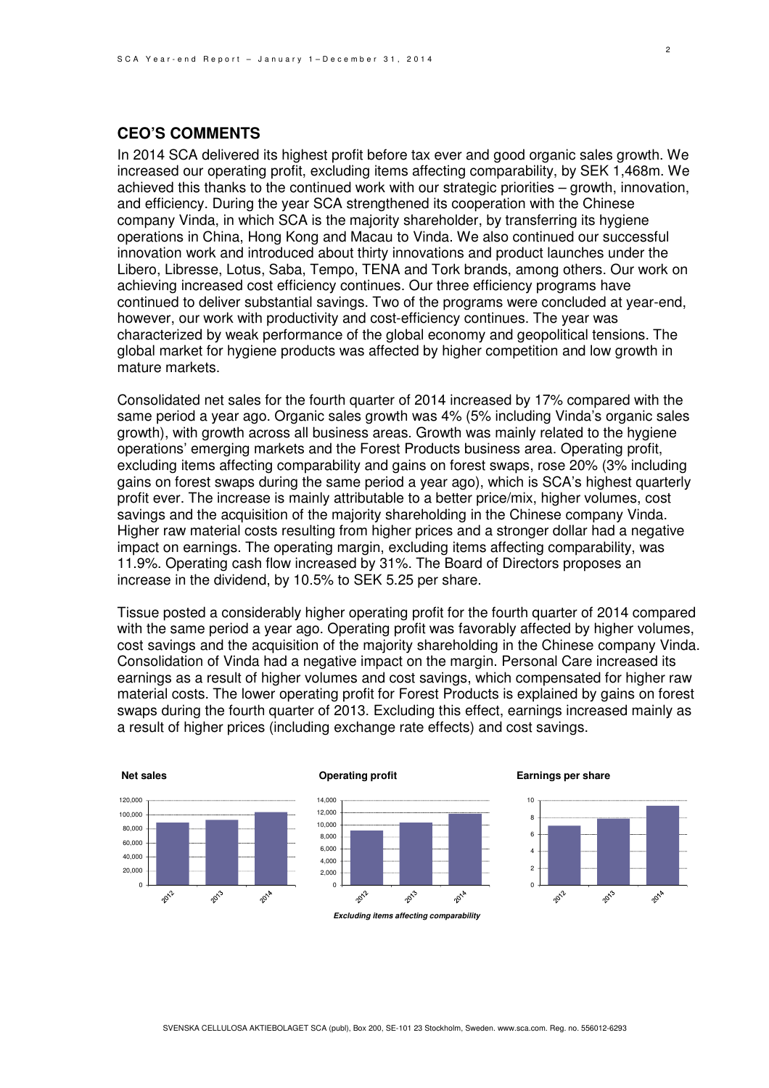### **CEO'S COMMENTS**

In 2014 SCA delivered its highest profit before tax ever and good organic sales growth. We increased our operating profit, excluding items affecting comparability, by SEK 1,468m. We achieved this thanks to the continued work with our strategic priorities – growth, innovation, and efficiency. During the year SCA strengthened its cooperation with the Chinese company Vinda, in which SCA is the majority shareholder, by transferring its hygiene operations in China, Hong Kong and Macau to Vinda. We also continued our successful innovation work and introduced about thirty innovations and product launches under the Libero, Libresse, Lotus, Saba, Tempo, TENA and Tork brands, among others. Our work on achieving increased cost efficiency continues. Our three efficiency programs have continued to deliver substantial savings. Two of the programs were concluded at year-end, however, our work with productivity and cost-efficiency continues. The year was characterized by weak performance of the global economy and geopolitical tensions. The global market for hygiene products was affected by higher competition and low growth in mature markets.

Consolidated net sales for the fourth quarter of 2014 increased by 17% compared with the same period a year ago. Organic sales growth was 4% (5% including Vinda's organic sales growth), with growth across all business areas. Growth was mainly related to the hygiene operations' emerging markets and the Forest Products business area. Operating profit, excluding items affecting comparability and gains on forest swaps, rose 20% (3% including gains on forest swaps during the same period a year ago), which is SCA's highest quarterly profit ever. The increase is mainly attributable to a better price/mix, higher volumes, cost savings and the acquisition of the majority shareholding in the Chinese company Vinda. Higher raw material costs resulting from higher prices and a stronger dollar had a negative impact on earnings. The operating margin, excluding items affecting comparability, was 11.9%. Operating cash flow increased by 31%. The Board of Directors proposes an increase in the dividend, by 10.5% to SEK 5.25 per share.

Tissue posted a considerably higher operating profit for the fourth quarter of 2014 compared with the same period a year ago. Operating profit was favorably affected by higher volumes, cost savings and the acquisition of the majority shareholding in the Chinese company Vinda. Consolidation of Vinda had a negative impact on the margin. Personal Care increased its earnings as a result of higher volumes and cost savings, which compensated for higher raw material costs. The lower operating profit for Forest Products is explained by gains on forest swaps during the fourth quarter of 2013. Excluding this effect, earnings increased mainly as a result of higher prices (including exchange rate effects) and cost savings.



2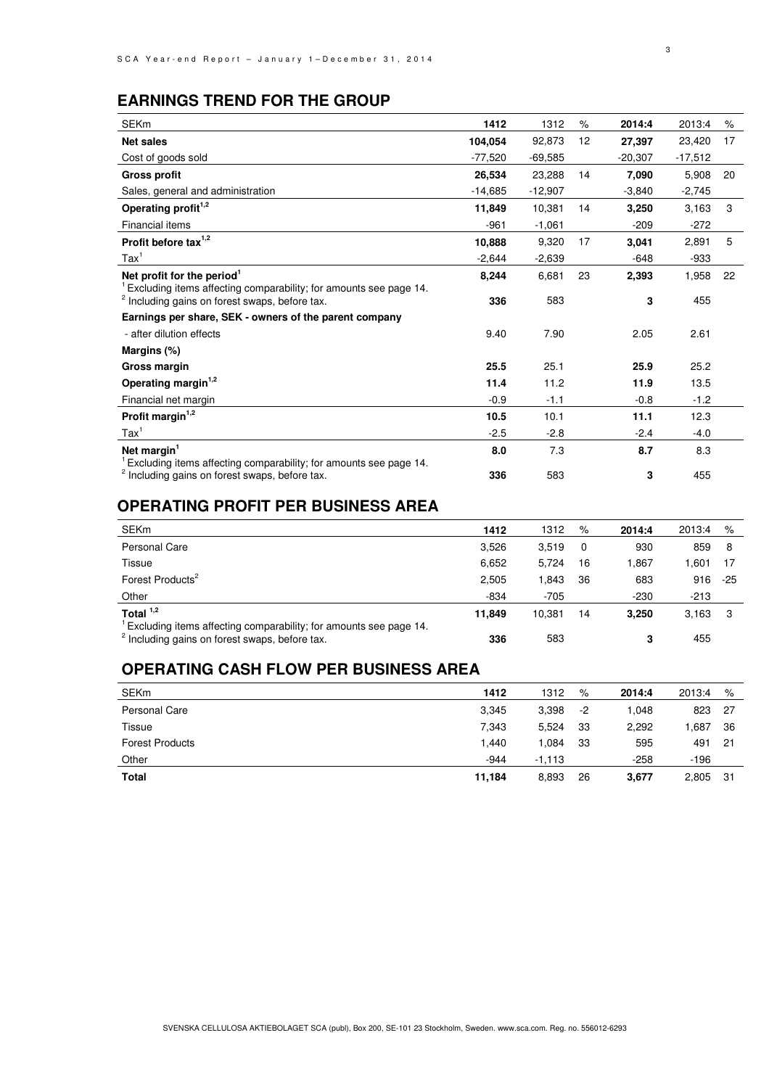### **EARNINGS TREND FOR THE GROUP**

| <b>SEKm</b>                                                                                                                    | 1412      | 1312      | %  | 2014:4    | 2013:4    | $\%$ |
|--------------------------------------------------------------------------------------------------------------------------------|-----------|-----------|----|-----------|-----------|------|
| <b>Net sales</b>                                                                                                               | 104,054   | 92,873    | 12 | 27,397    | 23,420    | 17   |
| Cost of goods sold                                                                                                             | $-77,520$ | $-69,585$ |    | $-20,307$ | $-17,512$ |      |
| <b>Gross profit</b>                                                                                                            | 26,534    | 23,288    | 14 | 7,090     | 5,908     | 20   |
| Sales, general and administration                                                                                              | $-14,685$ | $-12,907$ |    | $-3,840$  | $-2,745$  |      |
| Operating profit <sup>1,2</sup>                                                                                                | 11,849    | 10,381    | 14 | 3,250     | 3,163     | 3    |
| Financial items                                                                                                                | $-961$    | $-1,061$  |    | $-209$    | $-272$    |      |
| Profit before tax $1,2$                                                                                                        | 10,888    | 9,320     | 17 | 3,041     | 2,891     | 5    |
| $\text{Tax}^1$                                                                                                                 | $-2,644$  | $-2,639$  |    | $-648$    | $-933$    |      |
| Net profit for the period <sup>1</sup>                                                                                         | 8,244     | 6,681     | 23 | 2,393     | 1,958     | 22   |
| Excluding items affecting comparability; for amounts see page 14.<br><sup>2</sup> Including gains on forest swaps, before tax. | 336       | 583       |    | 3         | 455       |      |
| Earnings per share, SEK - owners of the parent company                                                                         |           |           |    |           |           |      |
| - after dilution effects                                                                                                       | 9.40      | 7.90      |    | 2.05      | 2.61      |      |
| Margins (%)                                                                                                                    |           |           |    |           |           |      |
| Gross margin                                                                                                                   | 25.5      | 25.1      |    | 25.9      | 25.2      |      |
| Operating margin <sup>1,2</sup>                                                                                                | 11.4      | 11.2      |    | 11.9      | 13.5      |      |
| Financial net margin                                                                                                           | $-0.9$    | $-1.1$    |    | $-0.8$    | $-1.2$    |      |
| Profit margin <sup>1,2</sup>                                                                                                   | 10.5      | 10.1      |    | 11.1      | 12.3      |      |
| $\text{Tax}^1$                                                                                                                 | $-2.5$    | $-2.8$    |    | $-2.4$    | $-4.0$    |      |
| Net margin <sup>1</sup>                                                                                                        | 8.0       | 7.3       |    | 8.7       | 8.3       |      |
| Excluding items affecting comparability; for amounts see page 14.<br><sup>2</sup> Including gains on forest swaps, before tax. | 336       | 583       |    | 3         | 455       |      |

### **OPERATING PROFIT PER BUSINESS AREA**

| <b>SEKm</b>                                                                                                                    | 1412   | 1312   | %        | 2014:4 | 2013:4 | %     |
|--------------------------------------------------------------------------------------------------------------------------------|--------|--------|----------|--------|--------|-------|
| Personal Care                                                                                                                  | 3,526  | 3.519  | $\Omega$ | 930    | 859    | 8     |
| Tissue                                                                                                                         | 6,652  | 5.724  | 16       | 1.867  | .601   | 17    |
| Forest Products <sup>2</sup>                                                                                                   | 2.505  | 1.843  | 36       | 683    | 916    | $-25$ |
| Other                                                                                                                          | $-834$ | $-705$ |          | $-230$ | $-213$ |       |
| Total $1,2$                                                                                                                    | 11.849 | 10.381 | 14       | 3.250  | 3,163  | -3    |
| Excluding items affecting comparability; for amounts see page 14.<br><sup>2</sup> Including gains on forest swaps, before tax. | 336    | 583    |          | 3      | 455    |       |

### **OPERATING CASH FLOW PER BUSINESS AREA**

| <b>SEKm</b>            | 1412   | 1312     | %    | 2014:4 | 2013:4 | %   |
|------------------------|--------|----------|------|--------|--------|-----|
| Personal Care          | 3,345  | 3,398    | $-2$ | 1.048  | 823    | -27 |
| Tissue                 | 7,343  | 5,524    | 33   | 2.292  | .687   | 36  |
| <b>Forest Products</b> | 1.440  | .084     | 33   | 595    | 491    | 21  |
| Other                  | $-944$ | $-1.113$ |      | $-258$ | $-196$ |     |
| Total                  | 11,184 | 8,893    | 26   | 3,677  | 2,805  | -31 |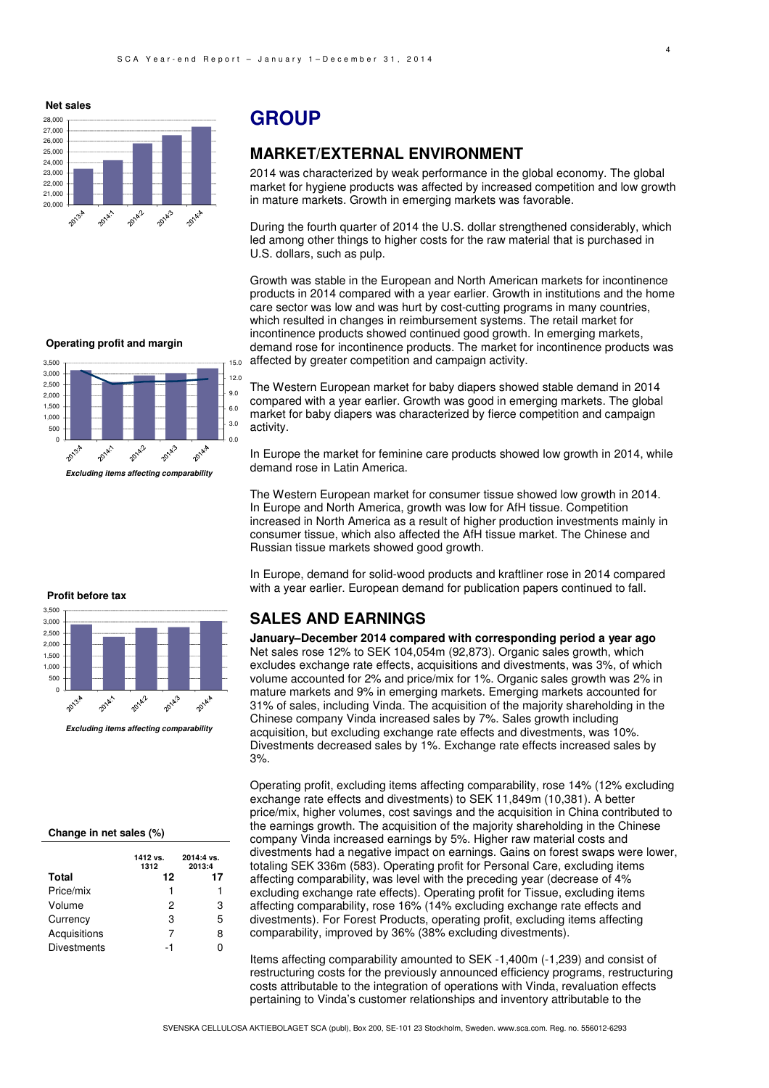28,000 27,000 26,000 25,000 24,000 23,000 22,000 21,000 20,000 2014/2 2014.3 2014年 2013.4

**Net sales**

### **GROUP**

### **MARKET/EXTERNAL ENVIRONMENT**

2014 was characterized by weak performance in the global economy. The global market for hygiene products was affected by increased competition and low growth in mature markets. Growth in emerging markets was favorable.

During the fourth quarter of 2014 the U.S. dollar strengthened considerably, which led among other things to higher costs for the raw material that is purchased in U.S. dollars, such as pulp.

Growth was stable in the European and North American markets for incontinence products in 2014 compared with a year earlier. Growth in institutions and the home care sector was low and was hurt by cost-cutting programs in many countries, which resulted in changes in reimbursement systems. The retail market for incontinence products showed continued good growth. In emerging markets, demand rose for incontinence products. The market for incontinence products was affected by greater competition and campaign activity.

**Operating profit and margin**



The Western European market for baby diapers showed stable demand in 2014 compared with a year earlier. Growth was good in emerging markets. The global

market for baby diapers was characterized by fierce competition and campaign activity.

In Europe the market for feminine care products showed low growth in 2014, while demand rose in Latin America.

The Western European market for consumer tissue showed low growth in 2014. In Europe and North America, growth was low for AfH tissue. Competition increased in North America as a result of higher production investments mainly in consumer tissue, which also affected the AfH tissue market. The Chinese and Russian tissue markets showed good growth.

In Europe, demand for solid-wood products and kraftliner rose in 2014 compared with a year earlier. European demand for publication papers continued to fall.

### **SALES AND EARNINGS**

**January–December 2014 compared with corresponding period a year ago**  Net sales rose 12% to SEK 104,054m (92,873). Organic sales growth, which excludes exchange rate effects, acquisitions and divestments, was 3%, of which volume accounted for 2% and price/mix for 1%. Organic sales growth was 2% in mature markets and 9% in emerging markets. Emerging markets accounted for 31% of sales, including Vinda. The acquisition of the majority shareholding in the Chinese company Vinda increased sales by 7%. Sales growth including acquisition, but excluding exchange rate effects and divestments, was 10%. Divestments decreased sales by 1%. Exchange rate effects increased sales by 3%.

Operating profit, excluding items affecting comparability, rose 14% (12% excluding exchange rate effects and divestments) to SEK 11,849m (10,381). A better price/mix, higher volumes, cost savings and the acquisition in China contributed to the earnings growth. The acquisition of the majority shareholding in the Chinese company Vinda increased earnings by 5%. Higher raw material costs and divestments had a negative impact on earnings. Gains on forest swaps were lower, totaling SEK 336m (583). Operating profit for Personal Care, excluding items affecting comparability, was level with the preceding year (decrease of 4% excluding exchange rate effects). Operating profit for Tissue, excluding items affecting comparability, rose 16% (14% excluding exchange rate effects and divestments). For Forest Products, operating profit, excluding items affecting comparability, improved by 36% (38% excluding divestments).

Items affecting comparability amounted to SEK -1,400m (-1,239) and consist of restructuring costs for the previously announced efficiency programs, restructuring costs attributable to the integration of operations with Vinda, revaluation effects pertaining to Vinda's customer relationships and inventory attributable to the

SVENSKA CELLULOSA AKTIEBOLAGET SCA (publ), Box 200, SE-101 23 Stockholm, Sweden. www.sca.com. Reg. no. 556012-6293



**Excluding items affecting comparability**

#### **Change in net sales (%)**

|                    | 1412 vs.<br>1312 | 2014:4 vs.<br>2013:4 |
|--------------------|------------------|----------------------|
| <b>Total</b>       | 12               | 17                   |
| Price/mix          | 1                | 1                    |
| Volume             | 2                | 3                    |
| Currency           | з                | 5                    |
| Acquisitions       | 7                | 8                    |
| <b>Divestments</b> | -1               | ი                    |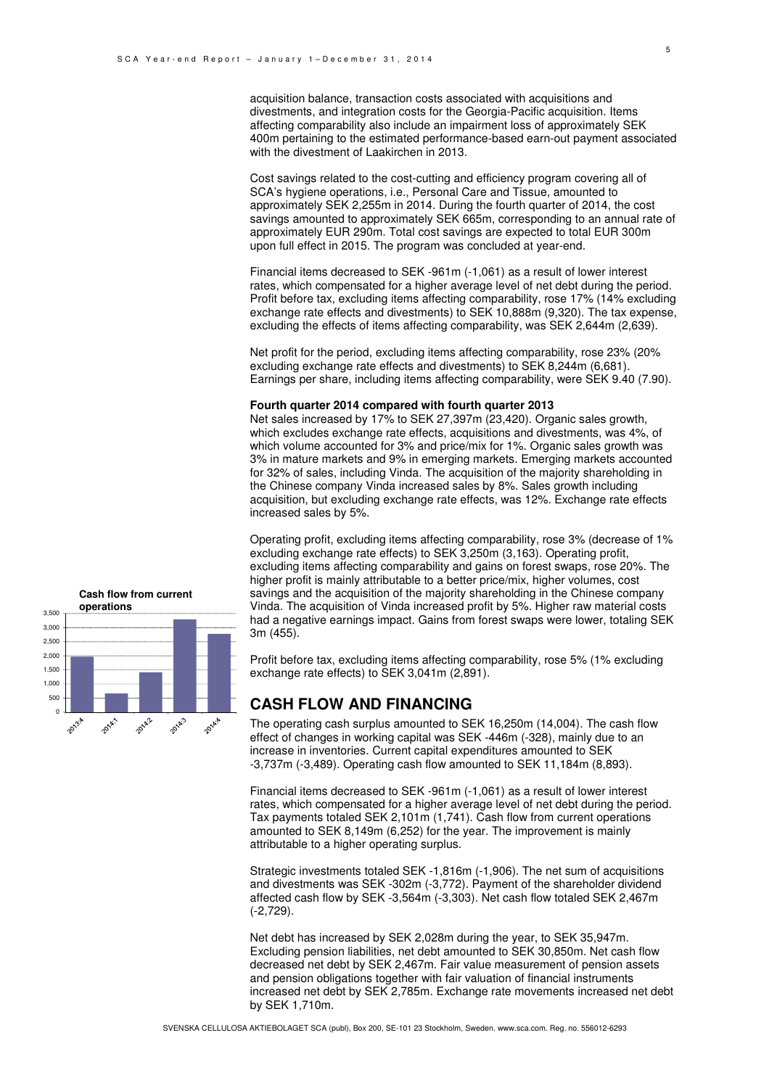acquisition balance, transaction costs associated with acquisitions and divestments, and integration costs for the Georgia-Pacific acquisition. Items affecting comparability also include an impairment loss of approximately SEK 400m pertaining to the estimated performance-based earn-out payment associated with the divestment of Laakirchen in 2013.

Cost savings related to the cost-cutting and efficiency program covering all of SCA's hygiene operations, i.e., Personal Care and Tissue, amounted to approximately SEK 2,255m in 2014. During the fourth quarter of 2014, the cost savings amounted to approximately SEK 665m, corresponding to an annual rate of approximately EUR 290m. Total cost savings are expected to total EUR 300m upon full effect in 2015. The program was concluded at year-end.

Financial items decreased to SEK -961m (-1,061) as a result of lower interest rates, which compensated for a higher average level of net debt during the period. Profit before tax, excluding items affecting comparability, rose 17% (14% excluding exchange rate effects and divestments) to SEK 10,888m (9,320). The tax expense, excluding the effects of items affecting comparability, was SEK 2,644m (2,639).

Net profit for the period, excluding items affecting comparability, rose 23% (20% excluding exchange rate effects and divestments) to SEK 8,244m (6,681). Earnings per share, including items affecting comparability, were SEK 9.40 (7.90).

#### **Fourth quarter 2014 compared with fourth quarter 2013**

Net sales increased by 17% to SEK 27,397m (23,420). Organic sales growth, which excludes exchange rate effects, acquisitions and divestments, was 4%, of which volume accounted for 3% and price/mix for 1%. Organic sales growth was 3% in mature markets and 9% in emerging markets. Emerging markets accounted for 32% of sales, including Vinda. The acquisition of the majority shareholding in the Chinese company Vinda increased sales by 8%. Sales growth including acquisition, but excluding exchange rate effects, was 12%. Exchange rate effects increased sales by 5%.

Operating profit, excluding items affecting comparability, rose 3% (decrease of 1% excluding exchange rate effects) to SEK 3,250m (3,163). Operating profit, excluding items affecting comparability and gains on forest swaps, rose 20%. The higher profit is mainly attributable to a better price/mix, higher volumes, cost savings and the acquisition of the majority shareholding in the Chinese company Vinda. The acquisition of Vinda increased profit by 5%. Higher raw material costs had a negative earnings impact. Gains from forest swaps were lower, totaling SEK 3m (455).

Profit before tax, excluding items affecting comparability, rose 5% (1% excluding exchange rate effects) to SEK 3,041m (2,891).

### **CASH FLOW AND FINANCING**

The operating cash surplus amounted to SEK 16,250m (14,004). The cash flow effect of changes in working capital was SEK -446m (-328), mainly due to an increase in inventories. Current capital expenditures amounted to SEK -3,737m (-3,489). Operating cash flow amounted to SEK 11,184m (8,893).

Financial items decreased to SEK -961m (-1,061) as a result of lower interest rates, which compensated for a higher average level of net debt during the period. Tax payments totaled SEK 2,101m (1,741). Cash flow from current operations amounted to SEK 8,149m (6,252) for the year. The improvement is mainly attributable to a higher operating surplus.

Strategic investments totaled SEK -1,816m (-1,906). The net sum of acquisitions and divestments was SEK -302m (-3,772). Payment of the shareholder dividend affected cash flow by SEK -3,564m (-3,303). Net cash flow totaled SEK 2,467m (-2,729).

Net debt has increased by SEK 2,028m during the year, to SEK 35,947m. Excluding pension liabilities, net debt amounted to SEK 30,850m. Net cash flow decreased net debt by SEK 2,467m. Fair value measurement of pension assets and pension obligations together with fair valuation of financial instruments increased net debt by SEK 2,785m. Exchange rate movements increased net debt by SEK 1,710m.

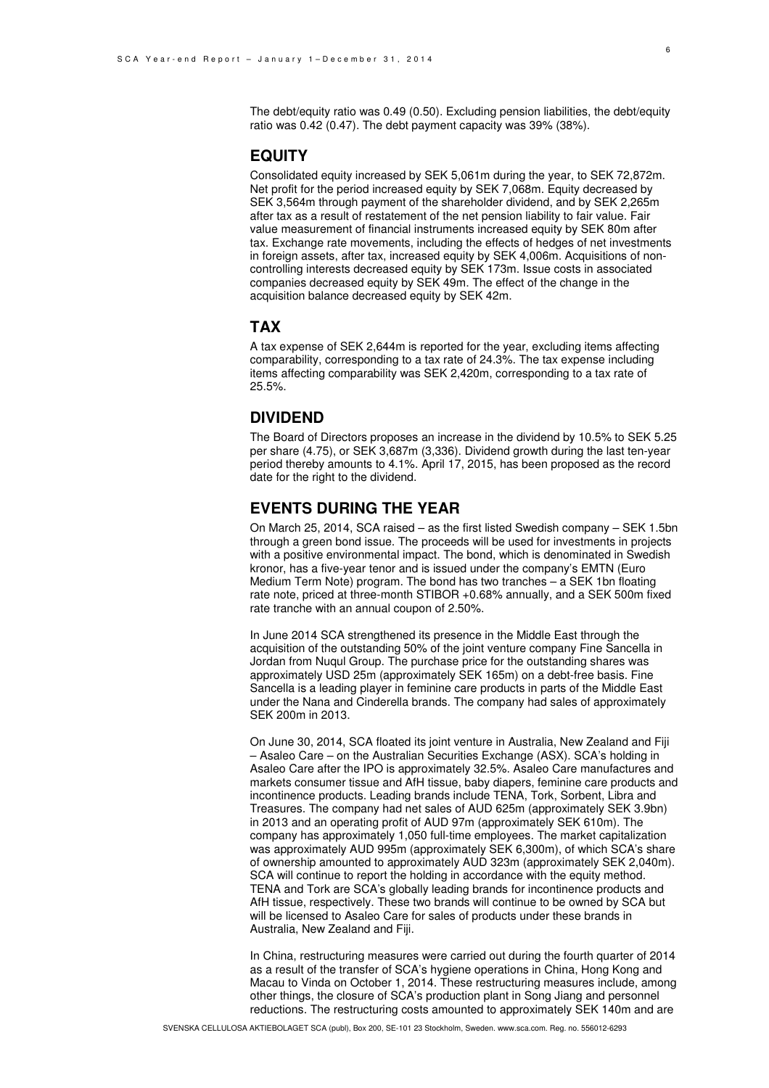The debt/equity ratio was 0.49 (0.50). Excluding pension liabilities, the debt/equity ratio was 0.42 (0.47). The debt payment capacity was 39% (38%).

### **EQUITY**

Consolidated equity increased by SEK 5,061m during the year, to SEK 72,872m. Net profit for the period increased equity by SEK 7,068m. Equity decreased by SEK 3,564m through payment of the shareholder dividend, and by SEK 2,265m after tax as a result of restatement of the net pension liability to fair value. Fair value measurement of financial instruments increased equity by SEK 80m after tax. Exchange rate movements, including the effects of hedges of net investments in foreign assets, after tax, increased equity by SEK 4,006m. Acquisitions of noncontrolling interests decreased equity by SEK 173m. Issue costs in associated companies decreased equity by SEK 49m. The effect of the change in the acquisition balance decreased equity by SEK 42m.

#### **TAX**

A tax expense of SEK 2,644m is reported for the year, excluding items affecting comparability, corresponding to a tax rate of 24.3%. The tax expense including items affecting comparability was SEK 2,420m, corresponding to a tax rate of 25.5%.

### **DIVIDEND**

The Board of Directors proposes an increase in the dividend by 10.5% to SEK 5.25 per share (4.75), or SEK 3,687m (3,336). Dividend growth during the last ten-year period thereby amounts to 4.1%. April 17, 2015, has been proposed as the record date for the right to the dividend.

### **EVENTS DURING THE YEAR**

On March 25, 2014, SCA raised – as the first listed Swedish company – SEK 1.5bn through a green bond issue. The proceeds will be used for investments in projects with a positive environmental impact. The bond, which is denominated in Swedish kronor, has a five-year tenor and is issued under the company's EMTN (Euro Medium Term Note) program. The bond has two tranches – a SEK 1bn floating rate note, priced at three-month STIBOR +0.68% annually, and a SEK 500m fixed rate tranche with an annual coupon of 2.50%.

In June 2014 SCA strengthened its presence in the Middle East through the acquisition of the outstanding 50% of the joint venture company Fine Sancella in Jordan from Nuqul Group. The purchase price for the outstanding shares was approximately USD 25m (approximately SEK 165m) on a debt-free basis. Fine Sancella is a leading player in feminine care products in parts of the Middle East under the Nana and Cinderella brands. The company had sales of approximately SEK 200m in 2013.

On June 30, 2014, SCA floated its joint venture in Australia, New Zealand and Fiji – Asaleo Care – on the Australian Securities Exchange (ASX). SCA's holding in Asaleo Care after the IPO is approximately 32.5%. Asaleo Care manufactures and markets consumer tissue and AfH tissue, baby diapers, feminine care products and incontinence products. Leading brands include TENA, Tork, Sorbent, Libra and Treasures. The company had net sales of AUD 625m (approximately SEK 3.9bn) in 2013 and an operating profit of AUD 97m (approximately SEK 610m). The company has approximately 1,050 full-time employees. The market capitalization was approximately AUD 995m (approximately SEK 6,300m), of which SCA's share of ownership amounted to approximately AUD 323m (approximately SEK 2,040m). SCA will continue to report the holding in accordance with the equity method. TENA and Tork are SCA's globally leading brands for incontinence products and AfH tissue, respectively. These two brands will continue to be owned by SCA but will be licensed to Asaleo Care for sales of products under these brands in Australia, New Zealand and Fiji.

In China, restructuring measures were carried out during the fourth quarter of 2014 as a result of the transfer of SCA's hygiene operations in China, Hong Kong and Macau to Vinda on October 1, 2014. These restructuring measures include, among other things, the closure of SCA's production plant in Song Jiang and personnel reductions. The restructuring costs amounted to approximately SEK 140m and are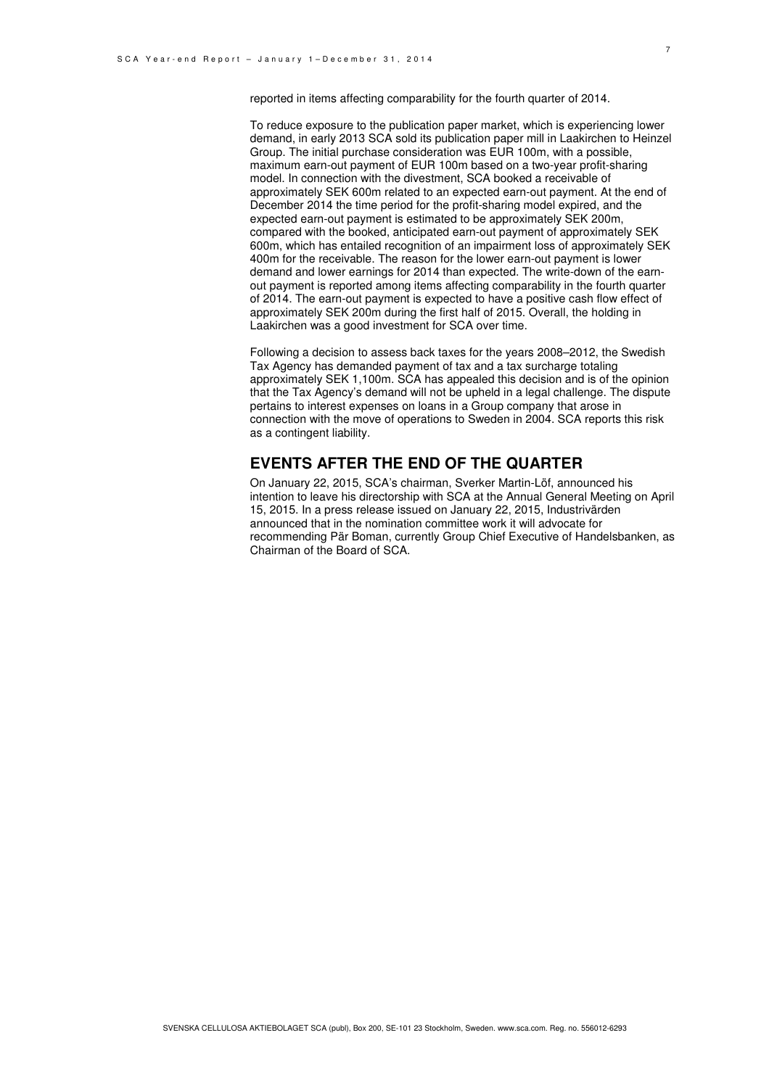To reduce exposure to the publication paper market, which is experiencing lower demand, in early 2013 SCA sold its publication paper mill in Laakirchen to Heinzel Group. The initial purchase consideration was EUR 100m, with a possible, maximum earn-out payment of EUR 100m based on a two-year profit-sharing model. In connection with the divestment, SCA booked a receivable of approximately SEK 600m related to an expected earn-out payment. At the end of December 2014 the time period for the profit-sharing model expired, and the expected earn-out payment is estimated to be approximately SEK 200m, compared with the booked, anticipated earn-out payment of approximately SEK 600m, which has entailed recognition of an impairment loss of approximately SEK 400m for the receivable. The reason for the lower earn-out payment is lower demand and lower earnings for 2014 than expected. The write-down of the earnout payment is reported among items affecting comparability in the fourth quarter of 2014. The earn-out payment is expected to have a positive cash flow effect of approximately SEK 200m during the first half of 2015. Overall, the holding in Laakirchen was a good investment for SCA over time.

Following a decision to assess back taxes for the years 2008–2012, the Swedish Tax Agency has demanded payment of tax and a tax surcharge totaling approximately SEK 1,100m. SCA has appealed this decision and is of the opinion that the Tax Agency's demand will not be upheld in a legal challenge. The dispute pertains to interest expenses on loans in a Group company that arose in connection with the move of operations to Sweden in 2004. SCA reports this risk as a contingent liability.

### **EVENTS AFTER THE END OF THE QUARTER**

On January 22, 2015, SCA's chairman, Sverker Martin-Löf, announced his intention to leave his directorship with SCA at the Annual General Meeting on April 15, 2015. In a press release issued on January 22, 2015, Industrivärden announced that in the nomination committee work it will advocate for recommending Pär Boman, currently Group Chief Executive of Handelsbanken, as Chairman of the Board of SCA.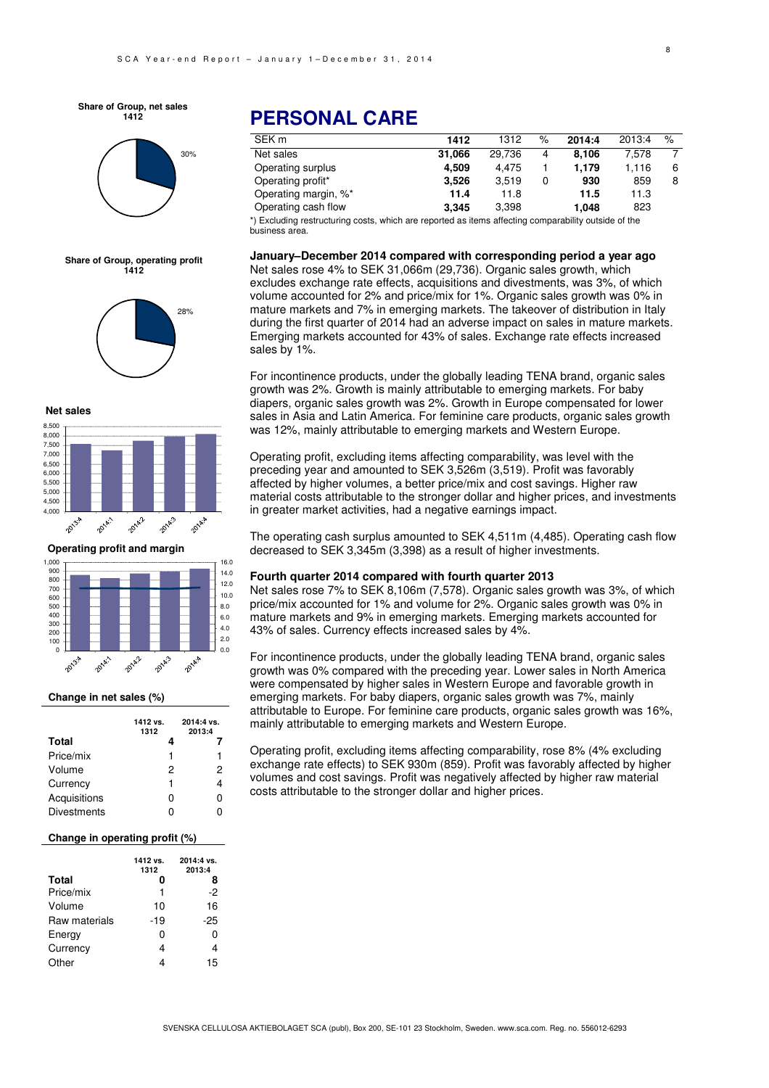**Share of Group, net sales 1412**



**Share of Group, operating profit 1412**



#### **Net sales**



**Operating profit and margin**



#### **Change in net sales (%)**

|                    | 1412 vs.<br>1312 | 2014:4 vs.<br>2013:4 |
|--------------------|------------------|----------------------|
| Total              | 4                |                      |
| Price/mix          | 1                | 1                    |
| Volume             | 2                | 2                    |
| Currency           | 1                | 4                    |
| Acquisitions       | 0                | n                    |
| <b>Divestments</b> | г                |                      |

#### **Change in operating profit (%)**

|               | 1412 vs.<br>1312 | 2014:4 vs.<br>2013:4 |
|---------------|------------------|----------------------|
| <b>Total</b>  | n                | 8                    |
| Price/mix     | 1                | -2                   |
| Volume        | 10               | 16                   |
| Raw materials | -19              | -25                  |
| Energy        | 0                | ი                    |
| Currency      | 4                | 4                    |
| Other         |                  | 15                   |

### **PERSONAL CARE**

| SEK <sub>m</sub>     | 1412   | 1312   | % | 2014:4 | 2013:4 | $\%$ |
|----------------------|--------|--------|---|--------|--------|------|
| Net sales            | 31.066 | 29.736 | 4 | 8.106  | 7.578  | ⇁    |
| Operating surplus    | 4.509  | 4.475  |   | 1.179  | 1.116  | 6    |
| Operating profit*    | 3.526  | 3.519  |   | 930    | 859    | 8    |
| Operating margin, %* | 11.4   | 11.8   |   | 11.5   | 11.3   |      |
| Operating cash flow  | 3.345  | 3.398  |   | 1.048  | 823    |      |

\*) Excluding restructuring costs, which are reported as items affecting comparability outside of the business area.

#### **January–December 2014 compared with corresponding period a year ago**

Net sales rose 4% to SEK 31,066m (29,736). Organic sales growth, which excludes exchange rate effects, acquisitions and divestments, was 3%, of which volume accounted for 2% and price/mix for 1%. Organic sales growth was 0% in mature markets and 7% in emerging markets. The takeover of distribution in Italy during the first quarter of 2014 had an adverse impact on sales in mature markets. Emerging markets accounted for 43% of sales. Exchange rate effects increased sales by 1%.

For incontinence products, under the globally leading TENA brand, organic sales growth was 2%. Growth is mainly attributable to emerging markets. For baby diapers, organic sales growth was 2%. Growth in Europe compensated for lower sales in Asia and Latin America. For feminine care products, organic sales growth was 12%, mainly attributable to emerging markets and Western Europe.

Operating profit, excluding items affecting comparability, was level with the preceding year and amounted to SEK 3,526m (3,519). Profit was favorably affected by higher volumes, a better price/mix and cost savings. Higher raw material costs attributable to the stronger dollar and higher prices, and investments in greater market activities, had a negative earnings impact.

The operating cash surplus amounted to SEK 4,511m (4,485). Operating cash flow decreased to SEK 3,345m (3,398) as a result of higher investments.

#### **Fourth quarter 2014 compared with fourth quarter 2013**

Net sales rose 7% to SEK 8,106m (7,578). Organic sales growth was 3%, of which price/mix accounted for 1% and volume for 2%. Organic sales growth was 0% in mature markets and 9% in emerging markets. Emerging markets accounted for 43% of sales. Currency effects increased sales by 4%.

For incontinence products, under the globally leading TENA brand, organic sales growth was 0% compared with the preceding year. Lower sales in North America were compensated by higher sales in Western Europe and favorable growth in emerging markets. For baby diapers, organic sales growth was 7%, mainly attributable to Europe. For feminine care products, organic sales growth was 16%, mainly attributable to emerging markets and Western Europe.

Operating profit, excluding items affecting comparability, rose 8% (4% excluding exchange rate effects) to SEK 930m (859). Profit was favorably affected by higher volumes and cost savings. Profit was negatively affected by higher raw material costs attributable to the stronger dollar and higher prices.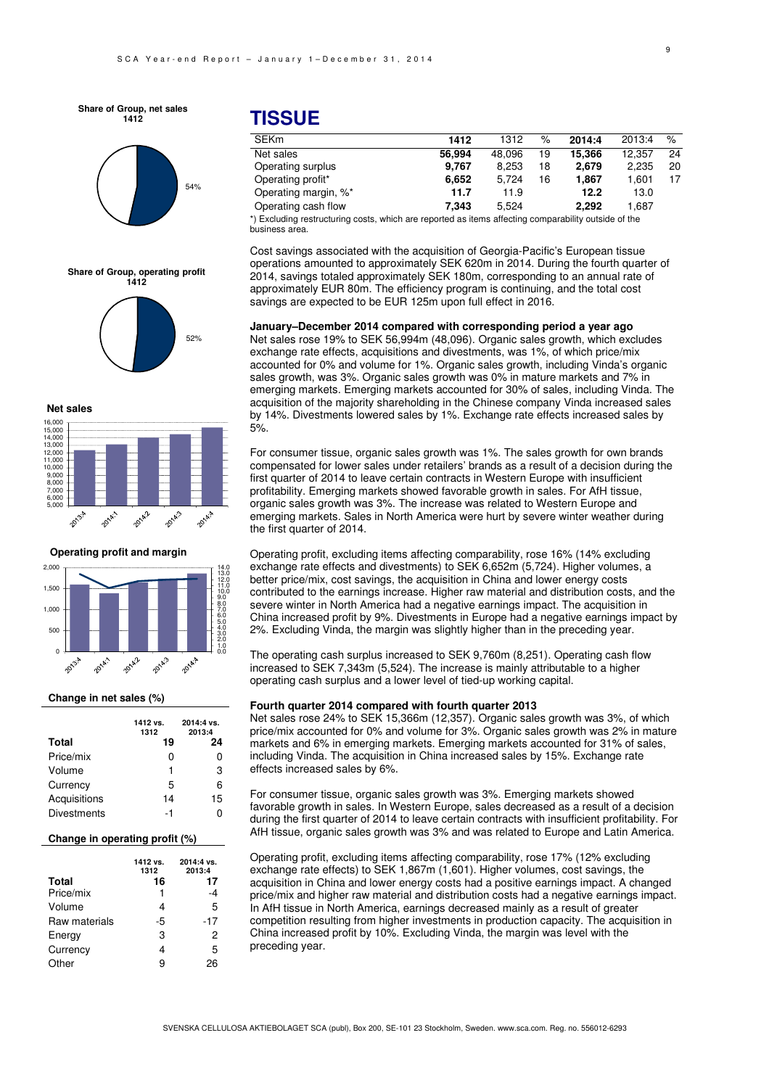**Share of Group, net sales 1412**



# 52% **Share of Group, operating profit 1412**





**Operating profit and margin**



#### **Change in net sales (%)**

|                    | 1412 vs.<br>1312 | 2014:4 vs.<br>2013:4 |
|--------------------|------------------|----------------------|
| Total              | 19               | 24                   |
| Price/mix          | n                | 0                    |
| Volume             | 1                | 3                    |
| Currency           | 5                | 6                    |
| Acquisitions       | 14               | 15                   |
| <b>Divestments</b> | -1               | ი                    |

#### **Change in operating profit (%)**

|               | 1412 vs.<br>1312 | 2014:4 vs.<br>2013:4 |
|---------------|------------------|----------------------|
| <b>Total</b>  | 16               | 17                   |
| Price/mix     |                  | -4                   |
| Volume        | 4                | 5                    |
| Raw materials | -5               | -17                  |
| Energy        | 3                | 2                    |
| Currency      | 4                | 5                    |
| Other         | g                | 26                   |

### **TISSUE**

| <b>SEKm</b>                                                                                          | 1412   | 1312   | %  | 2014:4 | 2013:4 | $\%$ |
|------------------------------------------------------------------------------------------------------|--------|--------|----|--------|--------|------|
| Net sales                                                                                            | 56.994 | 48.096 | 19 | 15,366 | 12.357 | 24   |
| Operating surplus                                                                                    | 9.767  | 8.253  | 18 | 2.679  | 2.235  | 20   |
| Operating profit*                                                                                    | 6.652  | 5.724  | 16 | 1.867  | 1.601  |      |
| Operating margin, %*                                                                                 | 11.7   | 11.9   |    | 12.2   | 13.0   |      |
| Operating cash flow                                                                                  | 7.343  | 5.524  |    | 2.292  | 1.687  |      |
| *) Evaluding restructuring sector which are reported as items offecting comparability outside of the |        |        |    |        |        |      |

Excluding restructuring costs, which are reported as items affecting comparability outside of the business area.

Cost savings associated with the acquisition of Georgia-Pacific's European tissue operations amounted to approximately SEK 620m in 2014. During the fourth quarter of 2014, savings totaled approximately SEK 180m, corresponding to an annual rate of approximately EUR 80m. The efficiency program is continuing, and the total cost savings are expected to be EUR 125m upon full effect in 2016.

**January–December 2014 compared with corresponding period a year ago**  Net sales rose 19% to SEK 56,994m (48,096). Organic sales growth, which excludes exchange rate effects, acquisitions and divestments, was 1%, of which price/mix accounted for 0% and volume for 1%. Organic sales growth, including Vinda's organic sales growth, was 3%. Organic sales growth was 0% in mature markets and 7% in emerging markets. Emerging markets accounted for 30% of sales, including Vinda. The acquisition of the majority shareholding in the Chinese company Vinda increased sales by 14%. Divestments lowered sales by 1%. Exchange rate effects increased sales by 5%.

For consumer tissue, organic sales growth was 1%. The sales growth for own brands compensated for lower sales under retailers' brands as a result of a decision during the first quarter of 2014 to leave certain contracts in Western Europe with insufficient profitability. Emerging markets showed favorable growth in sales. For AfH tissue, organic sales growth was 3%. The increase was related to Western Europe and emerging markets. Sales in North America were hurt by severe winter weather during the first quarter of 2014.

Operating profit, excluding items affecting comparability, rose 16% (14% excluding exchange rate effects and divestments) to SEK 6,652m (5,724). Higher volumes, a better price/mix, cost savings, the acquisition in China and lower energy costs contributed to the earnings increase. Higher raw material and distribution costs, and the severe winter in North America had a negative earnings impact. The acquisition in China increased profit by 9%. Divestments in Europe had a negative earnings impact by 2%. Excluding Vinda, the margin was slightly higher than in the preceding year.

The operating cash surplus increased to SEK 9,760m (8,251). Operating cash flow increased to SEK 7,343m (5,524). The increase is mainly attributable to a higher operating cash surplus and a lower level of tied-up working capital.

#### **Fourth quarter 2014 compared with fourth quarter 2013**

Net sales rose 24% to SEK 15,366m (12,357). Organic sales growth was 3%, of which price/mix accounted for 0% and volume for 3%. Organic sales growth was 2% in mature markets and 6% in emerging markets. Emerging markets accounted for 31% of sales, including Vinda. The acquisition in China increased sales by 15%. Exchange rate effects increased sales by 6%.

For consumer tissue, organic sales growth was 3%. Emerging markets showed favorable growth in sales. In Western Europe, sales decreased as a result of a decision during the first quarter of 2014 to leave certain contracts with insufficient profitability. For AfH tissue, organic sales growth was 3% and was related to Europe and Latin America.

Operating profit, excluding items affecting comparability, rose 17% (12% excluding exchange rate effects) to SEK 1,867m (1,601). Higher volumes, cost savings, the acquisition in China and lower energy costs had a positive earnings impact. A changed price/mix and higher raw material and distribution costs had a negative earnings impact. In AfH tissue in North America, earnings decreased mainly as a result of greater competition resulting from higher investments in production capacity. The acquisition in China increased profit by 10%. Excluding Vinda, the margin was level with the preceding year.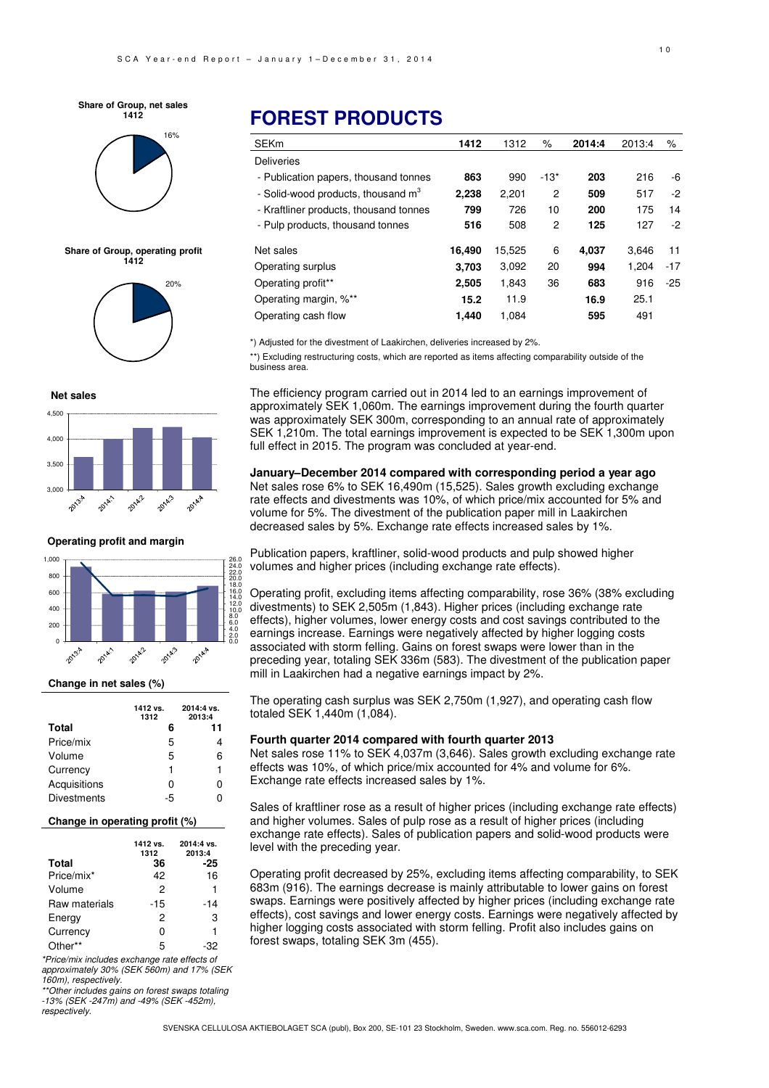#### **Share of Group, net sales 1412**



**Share of Group, operating profit 1412**



**Net sales**



**Operating profit and margin**



#### **Change in net sales (%)**

|                    | 1412 vs.<br>1312 | 2014:4 vs.<br>2013:4 |
|--------------------|------------------|----------------------|
| Total              | 6                | 11                   |
| Price/mix          | 5                | 4                    |
| Volume             | 5                | 6                    |
| Currency           | 1                | 1                    |
| Acquisitions       | ი                | ი                    |
| <b>Divestments</b> | -5               | ი                    |

#### **Change in operating profit (%)**

| <b>Total</b>  | 1412 vs.<br>1312<br>36 | 2014:4 vs.<br>2013:4<br>-25 |
|---------------|------------------------|-----------------------------|
| Price/mix*    | 42                     | 16                          |
| Volume        | 2                      | 1                           |
| Raw materials | -15                    | -14                         |
| Energy        | 2                      | 3                           |
| Currency      | o                      | 1                           |
| Other**       | 5                      | -32                         |

\*Price/mix includes exchange rate effects of approximately 30% (SEK 560m) and 17% (SEK 160m), respectively.

\*\*Other includes gains on forest swaps totaling -13% (SEK -247m) and -49% (SEK -452m),

respectively.

## **FOREST PRODUCTS**

| <b>SEKm</b>                                    | 1412   | 1312   | %      | 2014:4 | 2013:4 | ℅     |
|------------------------------------------------|--------|--------|--------|--------|--------|-------|
| <b>Deliveries</b>                              |        |        |        |        |        |       |
| - Publication papers, thousand tonnes          | 863    | 990    | $-13*$ | 203    | 216    | -6    |
| - Solid-wood products, thousand m <sup>3</sup> | 2.238  | 2,201  | 2      | 509    | 517    | -2    |
| - Kraftliner products, thousand tonnes         | 799    | 726    | 10     | 200    | 175    | 14    |
| - Pulp products, thousand tonnes               | 516    | 508    | 2      | 125    | 127    | -2    |
| Net sales                                      | 16,490 | 15,525 | 6      | 4.037  | 3.646  | 11    |
| Operating surplus                              | 3.703  | 3,092  | 20     | 994    | 1.204  | $-17$ |
| Operating profit**                             | 2,505  | 1,843  | 36     | 683    | 916    | $-25$ |
| Operating margin, %**                          | 15.2   | 11.9   |        | 16.9   | 25.1   |       |
| Operating cash flow                            | 1.440  | 1.084  |        | 595    | 491    |       |

\*) Adjusted for the divestment of Laakirchen, deliveries increased by 2%.

\*\*) Excluding restructuring costs, which are reported as items affecting comparability outside of the business area.

The efficiency program carried out in 2014 led to an earnings improvement of approximately SEK 1,060m. The earnings improvement during the fourth quarter was approximately SEK 300m, corresponding to an annual rate of approximately SEK 1,210m. The total earnings improvement is expected to be SEK 1,300m upon full effect in 2015. The program was concluded at year-end.

**January–December 2014 compared with corresponding period a year ago**  Net sales rose 6% to SEK 16,490m (15,525). Sales growth excluding exchange rate effects and divestments was 10%, of which price/mix accounted for 5% and volume for 5%. The divestment of the publication paper mill in Laakirchen decreased sales by 5%. Exchange rate effects increased sales by 1%.

Publication papers, kraftliner, solid-wood products and pulp showed higher volumes and higher prices (including exchange rate effects).

Operating profit, excluding items affecting comparability, rose 36% (38% excluding divestments) to SEK 2,505m (1,843). Higher prices (including exchange rate effects), higher volumes, lower energy costs and cost savings contributed to the earnings increase. Earnings were negatively affected by higher logging costs associated with storm felling. Gains on forest swaps were lower than in the preceding year, totaling SEK 336m (583). The divestment of the publication paper mill in Laakirchen had a negative earnings impact by 2%.

The operating cash surplus was SEK 2,750m (1,927), and operating cash flow totaled SEK 1,440m (1,084).

#### **Fourth quarter 2014 compared with fourth quarter 2013**

Net sales rose 11% to SEK 4,037m (3,646). Sales growth excluding exchange rate effects was 10%, of which price/mix accounted for 4% and volume for 6%. Exchange rate effects increased sales by 1%.

Sales of kraftliner rose as a result of higher prices (including exchange rate effects) and higher volumes. Sales of pulp rose as a result of higher prices (including exchange rate effects). Sales of publication papers and solid-wood products were level with the preceding year.

Operating profit decreased by 25%, excluding items affecting comparability, to SEK 683m (916). The earnings decrease is mainly attributable to lower gains on forest swaps. Earnings were positively affected by higher prices (including exchange rate effects), cost savings and lower energy costs. Earnings were negatively affected by higher logging costs associated with storm felling. Profit also includes gains on forest swaps, totaling SEK 3m (455).

SVENSKA CELLULOSA AKTIEBOLAGET SCA (publ), Box 200, SE-101 23 Stockholm, Sweden. www.sca.com. Reg. no. 556012-6293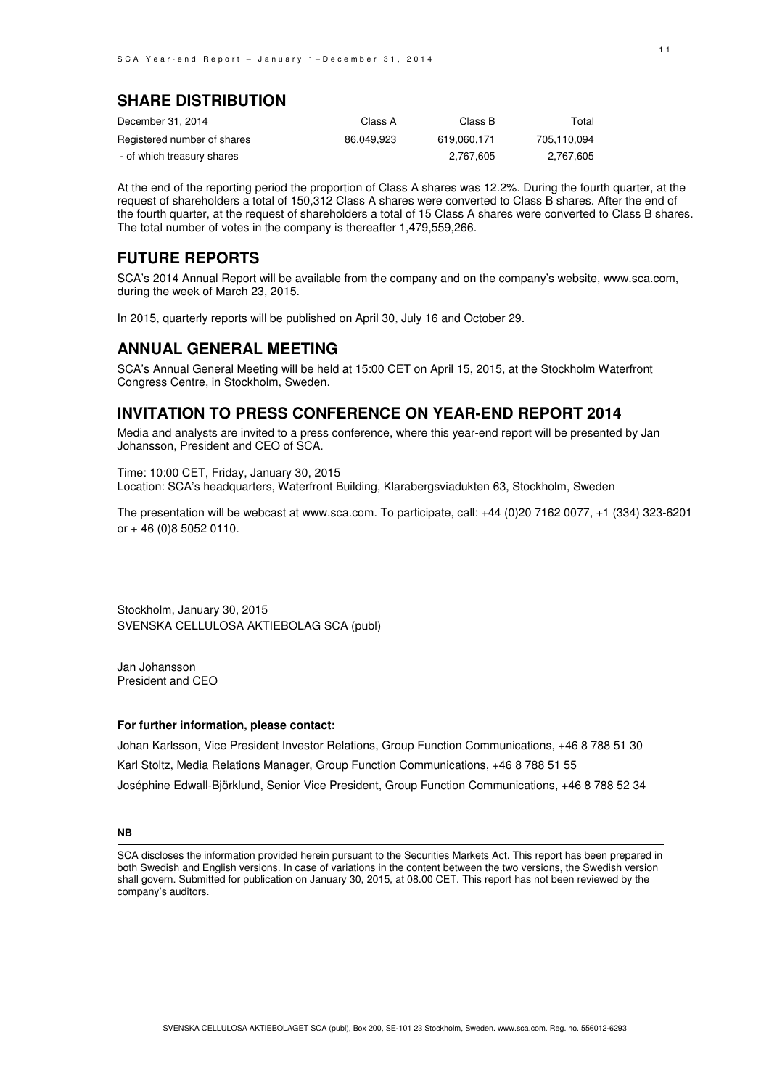### **SHARE DISTRIBUTION**

| December 31, 2014           | Class A    | Class B     | Total       |
|-----------------------------|------------|-------------|-------------|
| Registered number of shares | 86.049.923 | 619.060.171 | 705.110.094 |
| - of which treasury shares  |            | 2.767.605   | 2.767.605   |

At the end of the reporting period the proportion of Class A shares was 12.2%. During the fourth quarter, at the request of shareholders a total of 150,312 Class A shares were converted to Class B shares. After the end of the fourth quarter, at the request of shareholders a total of 15 Class A shares were converted to Class B shares. The total number of votes in the company is thereafter 1,479,559,266.

### **FUTURE REPORTS**

SCA's 2014 Annual Report will be available from the company and on the company's website, www.sca.com, during the week of March 23, 2015.

In 2015, quarterly reports will be published on April 30, July 16 and October 29.

### **ANNUAL GENERAL MEETING**

SCA's Annual General Meeting will be held at 15:00 CET on April 15, 2015, at the Stockholm Waterfront Congress Centre, in Stockholm, Sweden.

### **INVITATION TO PRESS CONFERENCE ON YEAR-END REPORT 2014**

Media and analysts are invited to a press conference, where this year-end report will be presented by Jan Johansson, President and CEO of SCA.

Time: 10:00 CET, Friday, January 30, 2015 Location: SCA's headquarters, Waterfront Building, Klarabergsviadukten 63, Stockholm, Sweden

The presentation will be webcast at www.sca.com. To participate, call: +44 (0)20 7162 0077, +1 (334) 323-6201 or + 46 (0)8 5052 0110.

Stockholm, January 30, 2015 SVENSKA CELLULOSA AKTIEBOLAG SCA (publ)

Jan Johansson President and CEO

#### **For further information, please contact:**

Johan Karlsson, Vice President Investor Relations, Group Function Communications, +46 8 788 51 30 Karl Stoltz, Media Relations Manager, Group Function Communications, +46 8 788 51 55 Joséphine Edwall-Björklund, Senior Vice President, Group Function Communications, +46 8 788 52 34

#### **NB**

SCA discloses the information provided herein pursuant to the Securities Markets Act. This report has been prepared in both Swedish and English versions. In case of variations in the content between the two versions, the Swedish version shall govern. Submitted for publication on January 30, 2015, at 08.00 CET. This report has not been reviewed by the company's auditors.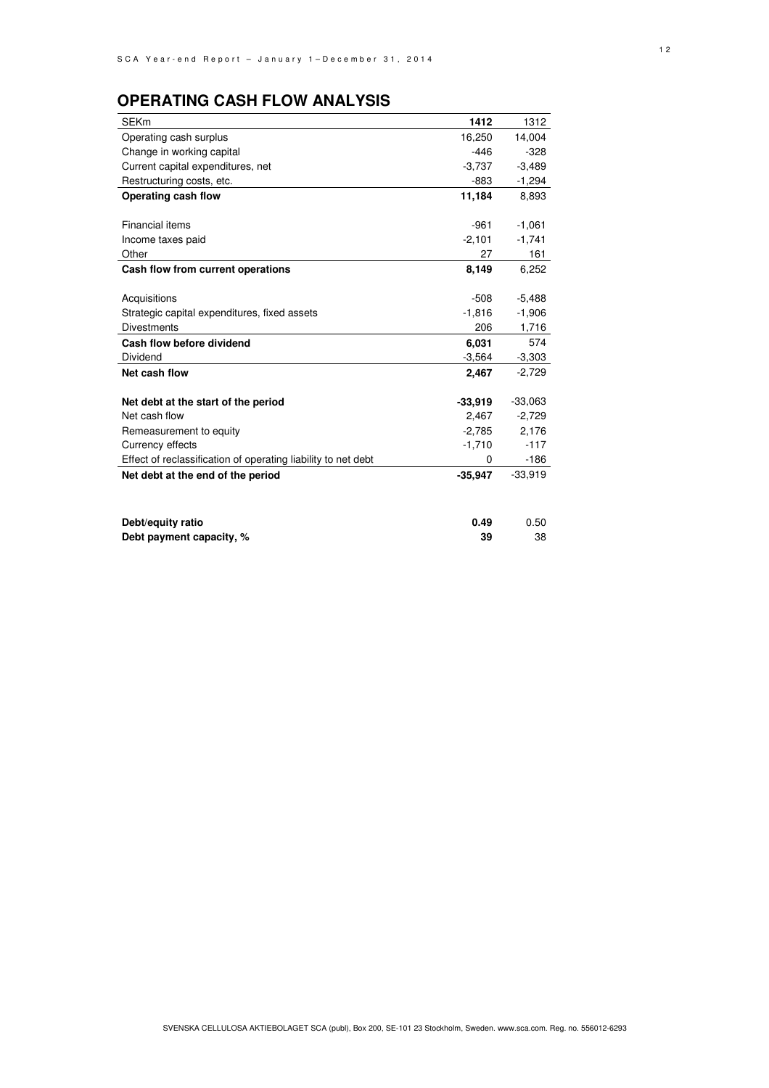### **OPERATING CASH FLOW ANALYSIS**

| <b>SEKm</b>                                                   | 1412      | 1312      |
|---------------------------------------------------------------|-----------|-----------|
| Operating cash surplus                                        | 16,250    | 14,004    |
| Change in working capital                                     | $-446$    | $-328$    |
| Current capital expenditures, net                             | $-3,737$  | $-3,489$  |
| Restructuring costs, etc.                                     | $-883$    | -1,294    |
| Operating cash flow                                           | 11,184    | 8,893     |
|                                                               |           |           |
| Financial items                                               | $-961$    | $-1,061$  |
| Income taxes paid                                             | $-2,101$  | $-1,741$  |
| Other                                                         | 27        | 161       |
| Cash flow from current operations                             | 8,149     | 6,252     |
|                                                               |           |           |
| Acquisitions                                                  | $-508$    | $-5,488$  |
| Strategic capital expenditures, fixed assets                  | $-1,816$  | $-1,906$  |
| <b>Divestments</b>                                            | 206       | 1,716     |
| Cash flow before dividend                                     | 6,031     | 574       |
| Dividend                                                      | $-3,564$  | $-3,303$  |
| Net cash flow                                                 | 2,467     | $-2,729$  |
|                                                               |           |           |
| Net debt at the start of the period                           | $-33,919$ | $-33,063$ |
| Net cash flow                                                 | 2,467     | $-2,729$  |
| Remeasurement to equity                                       | $-2,785$  | 2,176     |
| Currency effects                                              | $-1,710$  | $-117$    |
| Effect of reclassification of operating liability to net debt | 0         | $-186$    |
| Net debt at the end of the period                             | $-35,947$ | $-33,919$ |
|                                                               |           |           |
|                                                               |           |           |
| Debt/equity ratio                                             | 0.49      | 0.50      |
| Debt payment capacity, %                                      | 39        | 38        |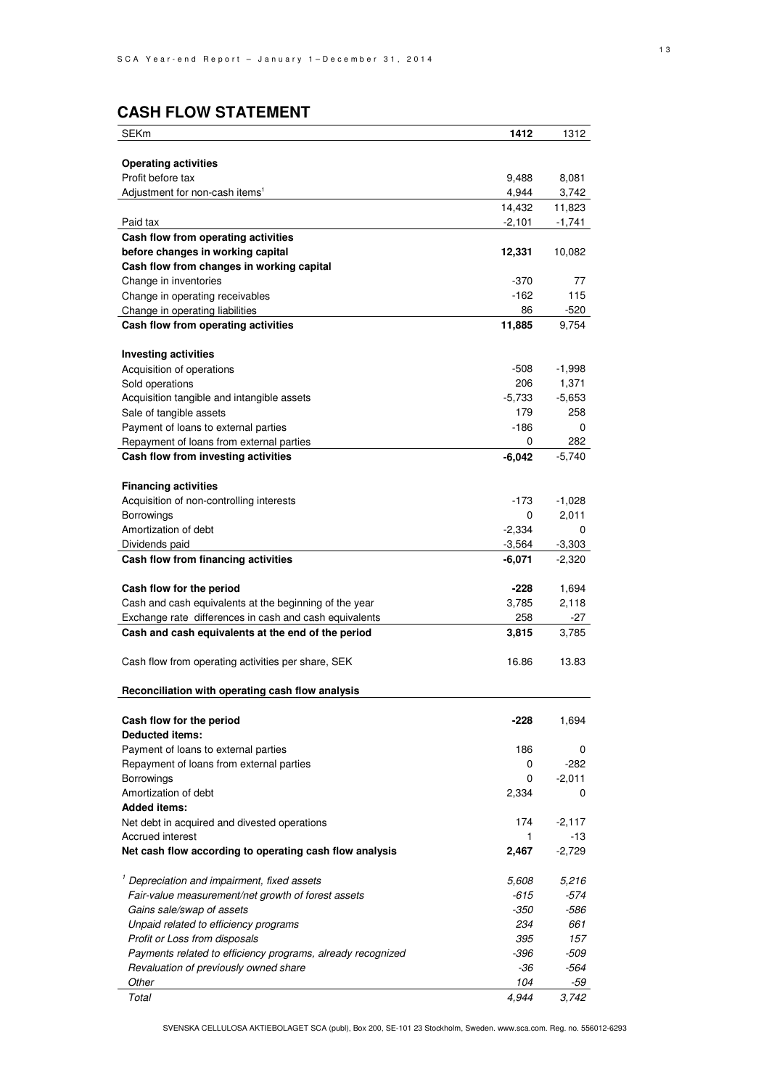### **CASH FLOW STATEMENT**

| SEKm                                                        | 1412     | 1312     |
|-------------------------------------------------------------|----------|----------|
|                                                             |          |          |
| <b>Operating activities</b>                                 |          |          |
| Profit before tax                                           | 9,488    | 8,081    |
| Adjustment for non-cash items <sup>1</sup>                  | 4,944    | 3,742    |
|                                                             | 14,432   | 11,823   |
| Paid tax                                                    | $-2,101$ | $-1,741$ |
| Cash flow from operating activities                         |          |          |
| before changes in working capital                           | 12,331   | 10,082   |
| Cash flow from changes in working capital                   |          |          |
| Change in inventories                                       | -370     | 77       |
| Change in operating receivables                             | $-162$   | 115      |
| Change in operating liabilities                             | 86       | -520     |
| Cash flow from operating activities                         | 11,885   | 9,754    |
|                                                             |          |          |
| <b>Investing activities</b>                                 |          |          |
| Acquisition of operations                                   | $-508$   | $-1,998$ |
| Sold operations                                             | 206      | 1,371    |
| Acquisition tangible and intangible assets                  | $-5,733$ | $-5,653$ |
| Sale of tangible assets                                     | 179      | 258      |
| Payment of loans to external parties                        | -186     | 0        |
| Repayment of loans from external parties                    | 0        | 282      |
| Cash flow from investing activities                         | $-6,042$ | $-5,740$ |
|                                                             |          |          |
| <b>Financing activities</b>                                 |          |          |
| Acquisition of non-controlling interests                    | -173     | $-1,028$ |
| Borrowings                                                  | 0        | 2,011    |
| Amortization of debt                                        | $-2,334$ | 0        |
| Dividends paid                                              | $-3,564$ | $-3,303$ |
| Cash flow from financing activities                         | $-6,071$ | $-2,320$ |
|                                                             |          |          |
| Cash flow for the period                                    | $-228$   | 1,694    |
| Cash and cash equivalents at the beginning of the year      | 3,785    | 2,118    |
| Exchange rate differences in cash and cash equivalents      | 258      | -27      |
| Cash and cash equivalents at the end of the period          | 3,815    | 3,785    |
| Cash flow from operating activities per share, SEK          | 16.86    | 13.83    |
|                                                             |          |          |
| Reconciliation with operating cash flow analysis            |          |          |
|                                                             |          |          |
| Cash flow for the period                                    | -228     | 1,694    |
| <b>Deducted items:</b>                                      |          |          |
| Payment of loans to external parties                        | 186      | 0        |
| Repayment of loans from external parties                    | 0        | $-282$   |
| Borrowings                                                  | 0        | -2,011   |
| Amortization of debt                                        | 2,334    | 0        |
| <b>Added items:</b>                                         |          |          |
| Net debt in acquired and divested operations                | 174      | $-2,117$ |
| Accrued interest                                            | 1        | -13      |
| Net cash flow according to operating cash flow analysis     | 2,467    | $-2,729$ |
| <sup>1</sup> Depreciation and impairment, fixed assets      | 5,608    | 5,216    |
| Fair-value measurement/net growth of forest assets          | -615     | -574     |
| Gains sale/swap of assets                                   | -350     | -586     |
| Unpaid related to efficiency programs                       | 234      | 661      |
| Profit or Loss from disposals                               | 395      | 157      |
| Payments related to efficiency programs, already recognized | -396     | -509     |
| Revaluation of previously owned share                       | -36      | -564     |
| Other                                                       | 104      | -59      |
| Total                                                       | 4,944    | 3,742    |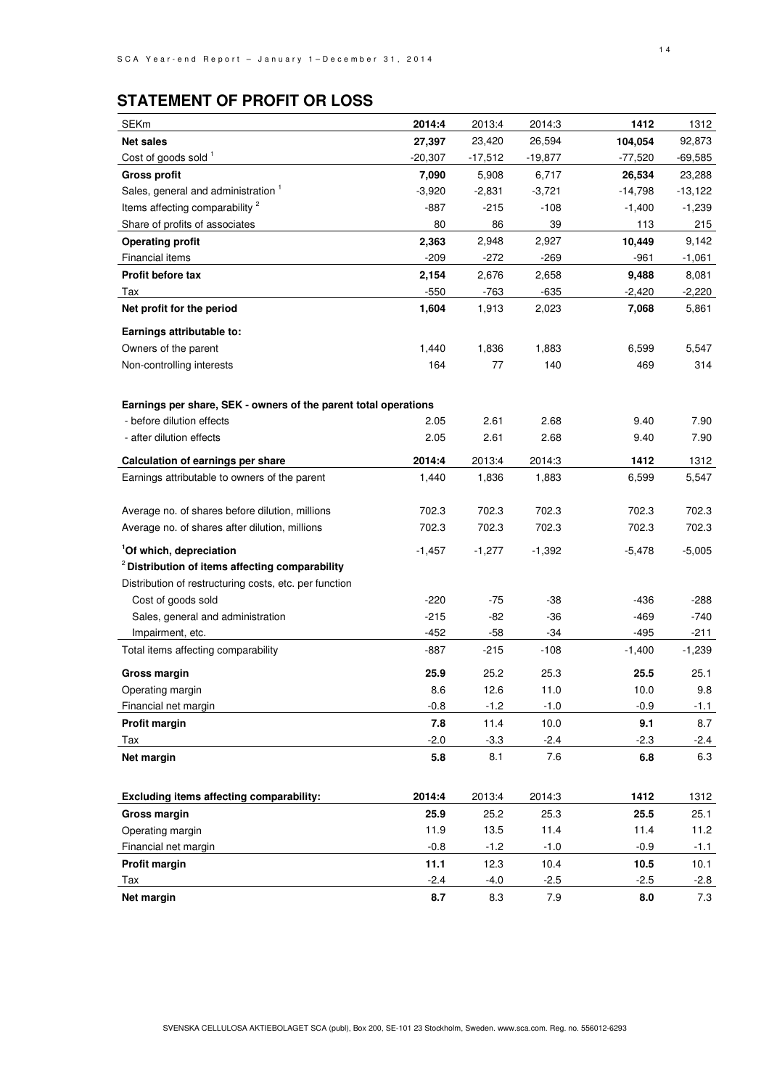### **STATEMENT OF PROFIT OR LOSS**

| <b>SEKm</b>                                                     | 2014:4    | 2013:4    | 2014:3    | 1412      | 1312      |
|-----------------------------------------------------------------|-----------|-----------|-----------|-----------|-----------|
| <b>Net sales</b>                                                | 27,397    | 23,420    | 26,594    | 104,054   | 92,873    |
| Cost of goods sold <sup>1</sup>                                 | $-20,307$ | $-17,512$ | $-19,877$ | $-77,520$ | $-69,585$ |
| <b>Gross profit</b>                                             | 7,090     | 5,908     | 6,717     | 26,534    | 23,288    |
| Sales, general and administration <sup>1</sup>                  | $-3,920$  | $-2,831$  | $-3,721$  | $-14,798$ | $-13,122$ |
| Items affecting comparability <sup>2</sup>                      | $-887$    | $-215$    | $-108$    | $-1,400$  | $-1,239$  |
| Share of profits of associates                                  | 80        | 86        | 39        | 113       | 215       |
| <b>Operating profit</b>                                         | 2,363     | 2,948     | 2,927     | 10,449    | 9,142     |
| <b>Financial items</b>                                          | $-209$    | $-272$    | $-269$    | $-961$    | $-1,061$  |
| Profit before tax                                               | 2,154     | 2,676     | 2,658     | 9,488     | 8,081     |
| Tax                                                             | $-550$    | -763      | $-635$    | $-2,420$  | $-2,220$  |
| Net profit for the period                                       | 1,604     | 1,913     | 2,023     | 7,068     | 5,861     |
| Earnings attributable to:                                       |           |           |           |           |           |
| Owners of the parent                                            | 1,440     | 1,836     | 1,883     | 6,599     | 5,547     |
| Non-controlling interests                                       | 164       | 77        | 140       | 469       | 314       |
|                                                                 |           |           |           |           |           |
| Earnings per share, SEK - owners of the parent total operations |           |           |           |           |           |
| - before dilution effects                                       | 2.05      | 2.61      | 2.68      | 9.40      | 7.90      |
| - after dilution effects                                        | 2.05      | 2.61      | 2.68      | 9.40      | 7.90      |
| Calculation of earnings per share                               | 2014:4    | 2013:4    | 2014:3    | 1412      | 1312      |
| Earnings attributable to owners of the parent                   | 1,440     | 1,836     | 1,883     | 6,599     | 5,547     |
|                                                                 |           |           |           |           |           |
| Average no. of shares before dilution, millions                 | 702.3     | 702.3     | 702.3     | 702.3     | 702.3     |
| Average no. of shares after dilution, millions                  | 702.3     | 702.3     | 702.3     | 702.3     | 702.3     |
| <sup>1</sup> Of which, depreciation                             | $-1,457$  | $-1,277$  | $-1,392$  | -5,478    | $-5,005$  |
| <sup>2</sup> Distribution of items affecting comparability      |           |           |           |           |           |
| Distribution of restructuring costs, etc. per function          |           |           |           |           |           |
| Cost of goods sold                                              | $-220$    | -75       | $-38$     | -436      | $-288$    |
| Sales, general and administration                               | $-215$    | -82       | $-36$     | $-469$    | $-740$    |
| Impairment, etc.                                                | $-452$    | $-58$     | $-34$     | $-495$    | -211      |
| Total items affecting comparability                             | $-887$    | $-215$    | $-108$    | $-1,400$  | $-1,239$  |
| <b>Gross margin</b>                                             | 25.9      | 25.2      | 25.3      | 25.5      | 25.1      |
| Operating margin                                                | 8.6       | 12.6      | 11.0      | 10.0      | 9.8       |
| Financial net margin                                            | $-0.8$    | $-1.2$    | $-1.0$    | $-0.9$    | $-1.1$    |
| <b>Profit margin</b>                                            | 7.8       | 11.4      | 10.0      | 9.1       | 8.7       |
| Tax                                                             | $-2.0$    | $-3.3$    | $-2.4$    | $-2.3$    | $-2.4$    |
| Net margin                                                      | 5.8       | 8.1       | 7.6       | 6.8       | 6.3       |
|                                                                 |           |           |           |           |           |
| Excluding items affecting comparability:                        | 2014:4    | 2013:4    | 2014:3    | 1412      | 1312      |
| Gross margin                                                    | 25.9      | 25.2      | 25.3      | 25.5      | 25.1      |
| Operating margin                                                | 11.9      | 13.5      | 11.4      | 11.4      | 11.2      |
| Financial net margin                                            | $-0.8$    | $-1.2$    | $-1.0$    | $-0.9$    | $-1.1$    |
| <b>Profit margin</b>                                            | 11.1      | 12.3      | 10.4      | 10.5      | 10.1      |
| Tax                                                             | $-2.4$    | $-4.0$    | $-2.5$    | $-2.5$    | $-2.8$    |
| Net margin                                                      | 8.7       | 8.3       | 7.9       | 8.0       | 7.3       |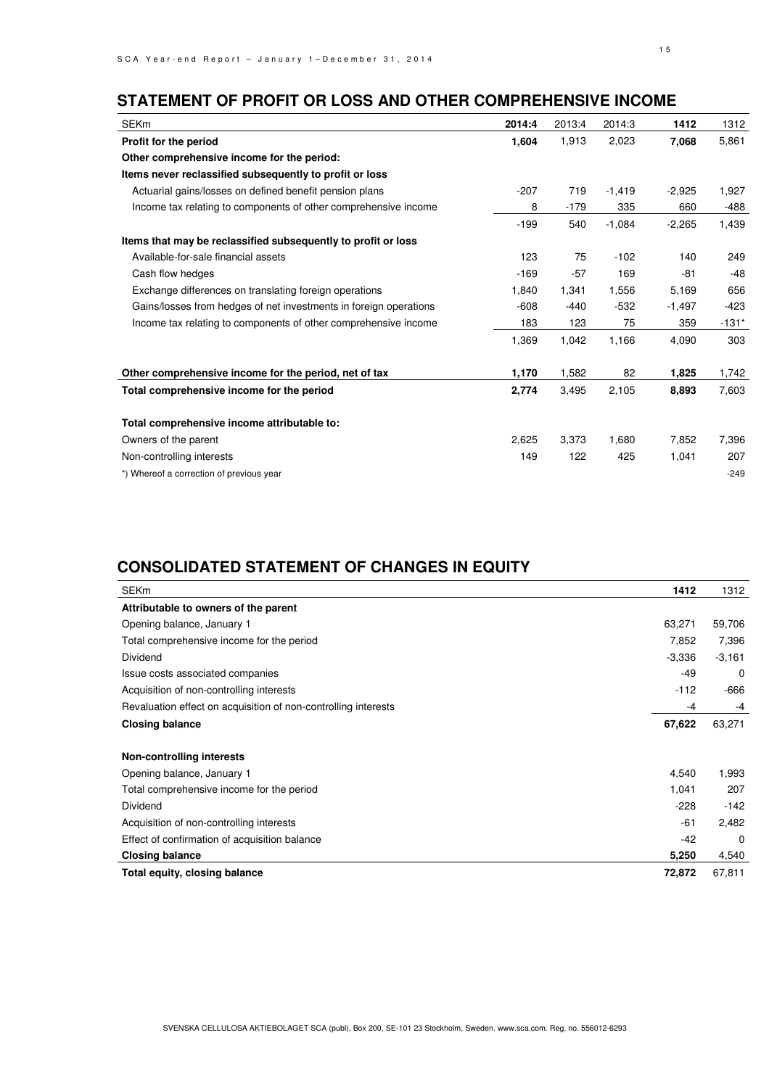### **STATEMENT OF PROFIT OR LOSS AND OTHER COMPREHENSIVE INCOME**

| <b>SEKm</b>                                                       | 2014:4 | 2013:4 | 2014:3   | 1412     | 1312    |
|-------------------------------------------------------------------|--------|--------|----------|----------|---------|
| Profit for the period                                             | 1,604  | 1,913  | 2,023    | 7,068    | 5,861   |
| Other comprehensive income for the period:                        |        |        |          |          |         |
| Items never reclassified subsequently to profit or loss           |        |        |          |          |         |
| Actuarial gains/losses on defined benefit pension plans           | $-207$ | 719    | $-1,419$ | $-2,925$ | 1,927   |
| Income tax relating to components of other comprehensive income   | 8      | $-179$ | 335      | 660      | -488    |
|                                                                   | $-199$ | 540    | $-1,084$ | $-2,265$ | 1,439   |
| Items that may be reclassified subsequently to profit or loss     |        |        |          |          |         |
| Available-for-sale financial assets                               | 123    | 75     | $-102$   | 140      | 249     |
| Cash flow hedges                                                  | $-169$ | $-57$  | 169      | -81      | -48     |
| Exchange differences on translating foreign operations            | 1,840  | 1,341  | 1,556    | 5,169    | 656     |
| Gains/losses from hedges of net investments in foreign operations | $-608$ | $-440$ | $-532$   | $-1,497$ | -423    |
| Income tax relating to components of other comprehensive income   | 183    | 123    | 75       | 359      | $-131*$ |
|                                                                   | 1,369  | 1,042  | 1,166    | 4,090    | 303     |
| Other comprehensive income for the period, net of tax             | 1,170  | 1,582  | 82       | 1,825    | 1,742   |
| Total comprehensive income for the period                         | 2,774  | 3,495  | 2,105    | 8,893    | 7,603   |
| Total comprehensive income attributable to:                       |        |        |          |          |         |
| Owners of the parent                                              | 2,625  | 3,373  | 1,680    | 7,852    | 7,396   |
| Non-controlling interests                                         | 149    | 122    | 425      | 1,041    | 207     |
| *) Whereof a correction of previous year                          |        |        |          |          | $-249$  |

### **CONSOLIDATED STATEMENT OF CHANGES IN EQUITY**

| <b>SEKm</b>                                                    | 1412     | 1312     |
|----------------------------------------------------------------|----------|----------|
| Attributable to owners of the parent                           |          |          |
| Opening balance, January 1                                     | 63,271   | 59,706   |
| Total comprehensive income for the period                      | 7,852    | 7,396    |
| Dividend                                                       | $-3,336$ | $-3,161$ |
| Issue costs associated companies                               | $-49$    | 0        |
| Acquisition of non-controlling interests                       | $-112$   | $-666$   |
| Revaluation effect on acquisition of non-controlling interests | -4       | -4       |
| <b>Closing balance</b>                                         | 67,622   | 63,271   |
| Non-controlling interests                                      |          |          |
| Opening balance, January 1                                     | 4,540    | 1,993    |
| Total comprehensive income for the period                      | 1,041    | 207      |
| Dividend                                                       | $-228$   | $-142$   |
| Acquisition of non-controlling interests                       | $-61$    | 2,482    |
| Effect of confirmation of acquisition balance                  | $-42$    | $\Omega$ |
| <b>Closing balance</b>                                         | 5,250    | 4,540    |
| Total equity, closing balance                                  | 72,872   | 67,811   |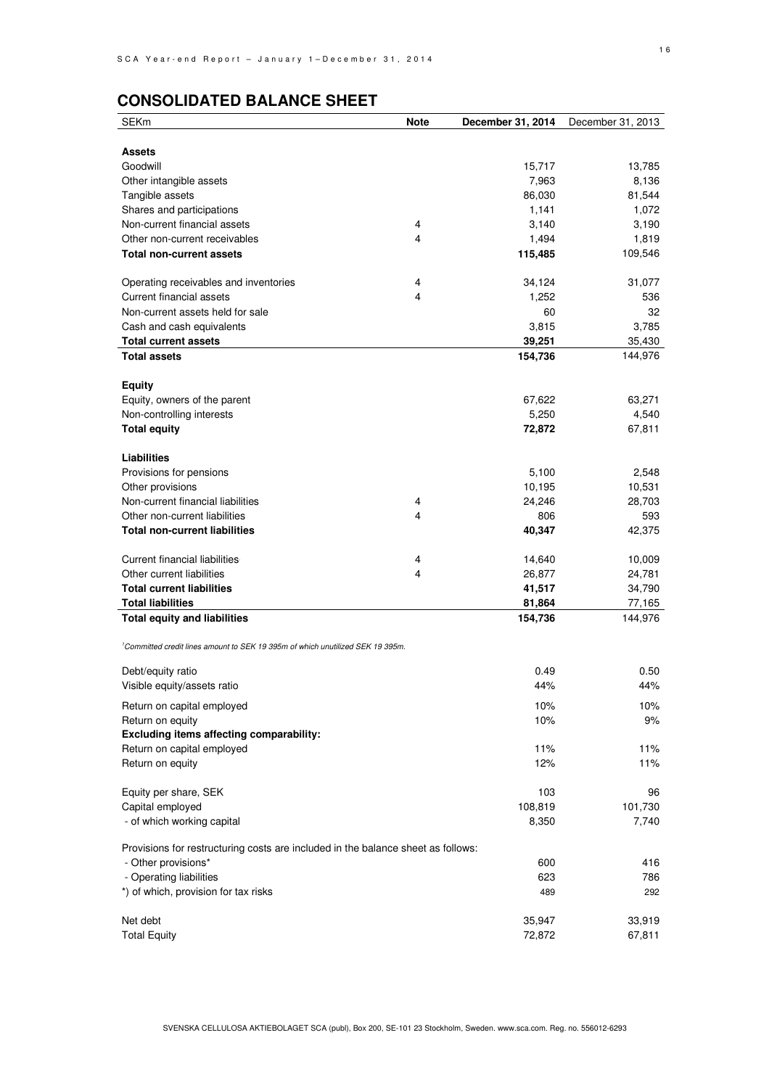### **CONSOLIDATED BALANCE SHEET**

| <b>SEKm</b>                                                                                | <b>Note</b> | December 31, 2014 | December 31, 2013 |
|--------------------------------------------------------------------------------------------|-------------|-------------------|-------------------|
|                                                                                            |             |                   |                   |
| <b>Assets</b>                                                                              |             |                   |                   |
| Goodwill                                                                                   |             | 15,717            | 13,785            |
| Other intangible assets                                                                    |             | 7,963             | 8,136             |
| Tangible assets                                                                            |             | 86,030            | 81,544            |
| Shares and participations                                                                  |             | 1,141             | 1,072             |
| Non-current financial assets                                                               | 4           | 3,140             | 3,190             |
| Other non-current receivables                                                              | 4           | 1,494             | 1,819             |
| <b>Total non-current assets</b>                                                            |             | 115,485           | 109,546           |
| Operating receivables and inventories                                                      | 4           | 34,124            | 31,077            |
| <b>Current financial assets</b>                                                            | 4           | 1,252             | 536               |
| Non-current assets held for sale                                                           |             | 60                | 32                |
| Cash and cash equivalents                                                                  |             | 3,815             | 3,785             |
| <b>Total current assets</b>                                                                |             | 39,251            | 35,430            |
| <b>Total assets</b>                                                                        |             | 154,736           | 144,976           |
| <b>Equity</b>                                                                              |             |                   |                   |
| Equity, owners of the parent                                                               |             | 67,622            | 63,271            |
| Non-controlling interests                                                                  |             | 5,250             | 4,540             |
| <b>Total equity</b>                                                                        |             | 72,872            | 67,811            |
|                                                                                            |             |                   |                   |
| Liabilities                                                                                |             |                   |                   |
| Provisions for pensions                                                                    |             | 5,100             | 2,548             |
| Other provisions                                                                           |             | 10,195            | 10,531            |
| Non-current financial liabilities                                                          | 4           | 24,246            | 28,703            |
| Other non-current liabilities                                                              | 4           | 806               | 593               |
| <b>Total non-current liabilities</b>                                                       |             | 40,347            | 42,375            |
| Current financial liabilities                                                              |             |                   | 10,009            |
| Other current liabilities                                                                  | 4<br>4      | 14,640            |                   |
| <b>Total current liabilities</b>                                                           |             | 26,877            | 24,781            |
| <b>Total liabilities</b>                                                                   |             | 41,517<br>81,864  | 34,790<br>77,165  |
| <b>Total equity and liabilities</b>                                                        |             | 154,736           | 144,976           |
|                                                                                            |             |                   |                   |
| <sup>1</sup> Committed credit lines amount to SEK 19 395m of which unutilized SEK 19 395m. |             |                   |                   |
| Debt/equity ratio                                                                          |             | 0.49              | 0.50              |
| Visible equity/assets ratio                                                                |             | 44%               | 44%               |
| Return on capital employed                                                                 |             | 10%               | 10%               |
| Return on equity                                                                           |             | 10%               | 9%                |
| Excluding items affecting comparability:                                                   |             |                   |                   |
| Return on capital employed                                                                 |             | 11%               | 11%               |
| Return on equity                                                                           |             | 12%               | 11%               |
|                                                                                            |             |                   |                   |
| Equity per share, SEK<br>Capital employed                                                  |             | 103               | 96                |
|                                                                                            |             | 108,819           | 101,730           |
| - of which working capital                                                                 |             | 8,350             | 7,740             |
| Provisions for restructuring costs are included in the balance sheet as follows:           |             |                   |                   |
| - Other provisions*                                                                        |             | 600               | 416               |
| - Operating liabilities                                                                    |             | 623               | 786               |
| *) of which, provision for tax risks                                                       |             | 489               | 292               |
| Net debt                                                                                   |             | 35,947            | 33,919            |
| <b>Total Equity</b>                                                                        |             | 72,872            | 67,811            |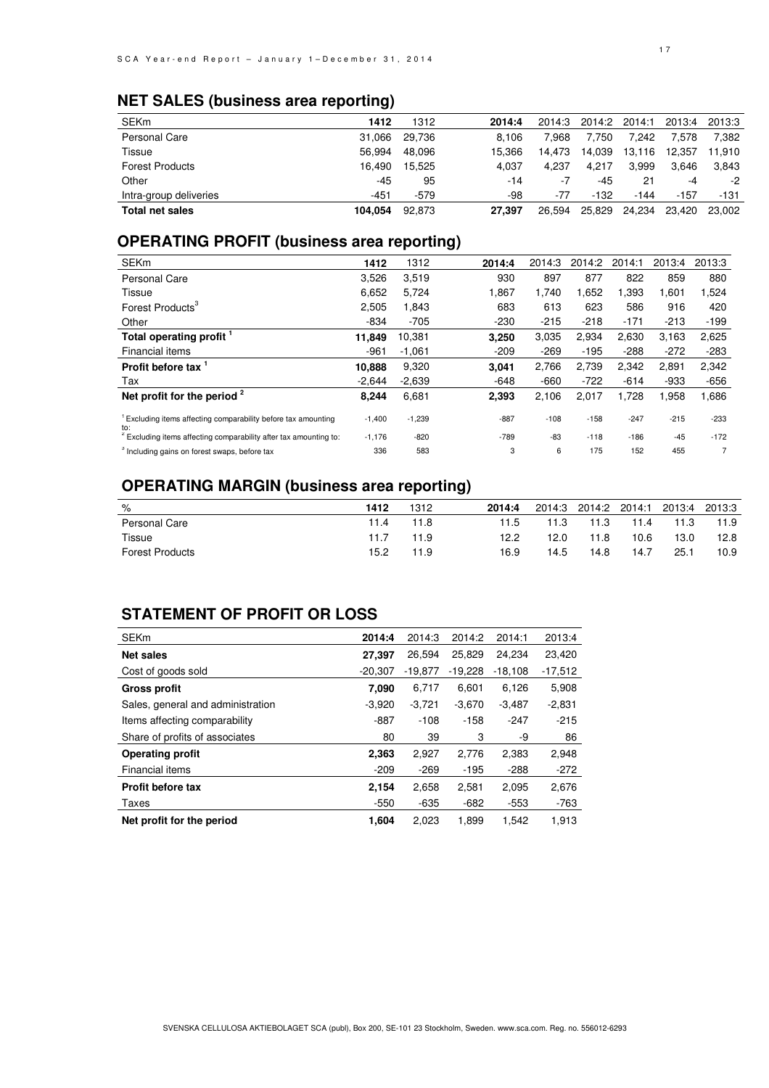### **NET SALES (business area reporting)**

| 1412    | 1312   | 2014:4 | 2014:3 |        | 2014:1 | 2013:4 | 2013:3 |
|---------|--------|--------|--------|--------|--------|--------|--------|
| 31.066  | 29.736 | 8.106  | 7.968  | 7.750  | 7.242  | 578.'  | 7.382  |
| 56.994  | 48.096 | 15.366 | 14.473 | 14.039 | 13,116 | 12.357 | 11.910 |
| 16.490  | 15.525 | 4.037  | 4.237  | 4.217  | 3.999  | 3.646  | 3.843  |
| $-45$   | 95     | -14    | -7     | -45    | 21     | -4     | -2     |
| -451    | $-579$ | -98    | -77    | $-132$ | -144   | $-157$ | -131   |
| 104.054 | 92.873 | 27.397 | 26.594 | 25,829 | 24.234 | 23.420 | 23.002 |
|         |        |        |        |        |        | 2014:2 |        |

### **OPERATING PROFIT (business area reporting)**

| <b>SEKm</b>                                                                      | 1412     | 1312     | 2014:4 | 2014:3 | 2014:2 | 2014:1 | 2013:4 | 2013:3         |
|----------------------------------------------------------------------------------|----------|----------|--------|--------|--------|--------|--------|----------------|
| Personal Care                                                                    | 3,526    | 3,519    | 930    | 897    | 877    | 822    | 859    | 880            |
| Tissue                                                                           | 6,652    | 5,724    | 1,867  | 1,740  | 1,652  | 1,393  | 1,601  | 1,524          |
| Forest Products <sup>3</sup>                                                     | 2,505    | 1,843    | 683    | 613    | 623    | 586    | 916    | 420            |
| Other                                                                            | $-834$   | $-705$   | $-230$ | $-215$ | $-218$ | $-171$ | $-213$ | $-199$         |
| Total operating profit                                                           | 11,849   | 10,381   | 3,250  | 3,035  | 2,934  | 2,630  | 3,163  | 2,625          |
| Financial items                                                                  | $-961$   | $-1.061$ | $-209$ | $-269$ | $-195$ | $-288$ | $-272$ | $-283$         |
| Profit before tax 1                                                              | 10,888   | 9,320    | 3,041  | 2,766  | 2,739  | 2,342  | 2,891  | 2,342          |
| Tax                                                                              | $-2.644$ | $-2,639$ | $-648$ | $-660$ | $-722$ | $-614$ | $-933$ | $-656$         |
| Net profit for the period $2$                                                    | 8,244    | 6,681    | 2,393  | 2,106  | 2,017  | 1,728  | 1,958  | 1,686          |
| <sup>1</sup> Excluding items affecting comparability before tax amounting<br>to: | $-1,400$ | $-1,239$ | $-887$ | $-108$ | $-158$ | $-247$ | $-215$ | $-233$         |
| <sup>2</sup> Excluding items affecting comparability after tax amounting to:     | $-1,176$ | $-820$   | $-789$ | $-83$  | $-118$ | $-186$ | $-45$  | $-172$         |
| <sup>3</sup> Including gains on forest swaps, before tax                         | 336      | 583      | 3      | 6      | 175    | 152    | 455    | $\overline{7}$ |

### **OPERATING MARGIN (business area reporting)**

| %                      | 1412 | 1312 | 2014:4 |      |      |      | 2014:3 2014:2 2014:1 2013:4 2013:3 |      |
|------------------------|------|------|--------|------|------|------|------------------------------------|------|
| Personal Care          | 11.4 | 11.8 | 11.5   | 11.3 | 11.3 | 11.4 | 11.3                               | 11.9 |
| Tissue                 | 11.7 | 11.9 | 12.2   | 12.0 | 11.8 | 10.6 | 13.0                               | 12.8 |
| <b>Forest Products</b> | 15.2 | 11.9 | 16.9   | 14.5 | 14.8 | 14.7 | 25.1                               | 10.9 |

### **STATEMENT OF PROFIT OR LOSS**

| <b>SEKm</b>                       | 2014:4    | 2014:3    | 2014:2    | 2014:1    | 2013:4    |
|-----------------------------------|-----------|-----------|-----------|-----------|-----------|
| <b>Net sales</b>                  | 27,397    | 26.594    | 25.829    | 24.234    | 23.420    |
| Cost of goods sold                | $-20.307$ | $-19.877$ | $-19.228$ | $-18,108$ | $-17,512$ |
| Gross profit                      | 7.090     | 6,717     | 6,601     | 6,126     | 5,908     |
| Sales, general and administration | $-3,920$  | $-3,721$  | $-3,670$  | $-3.487$  | $-2,831$  |
| Items affecting comparability     | $-887$    | $-108$    | $-158$    | $-247$    | $-215$    |
| Share of profits of associates    | 80        | 39        | 3         | -9        | 86        |
| <b>Operating profit</b>           | 2,363     | 2,927     | 2,776     | 2,383     | 2,948     |
| Financial items                   | $-209$    | $-269$    | $-195$    | $-288$    | $-272$    |
| <b>Profit before tax</b>          | 2,154     | 2,658     | 2,581     | 2,095     | 2,676     |
| Taxes                             | $-550$    | $-635$    | $-682$    | $-553$    | -763      |
| Net profit for the period         | 1,604     | 2,023     | 1,899     | 1,542     | 1,913     |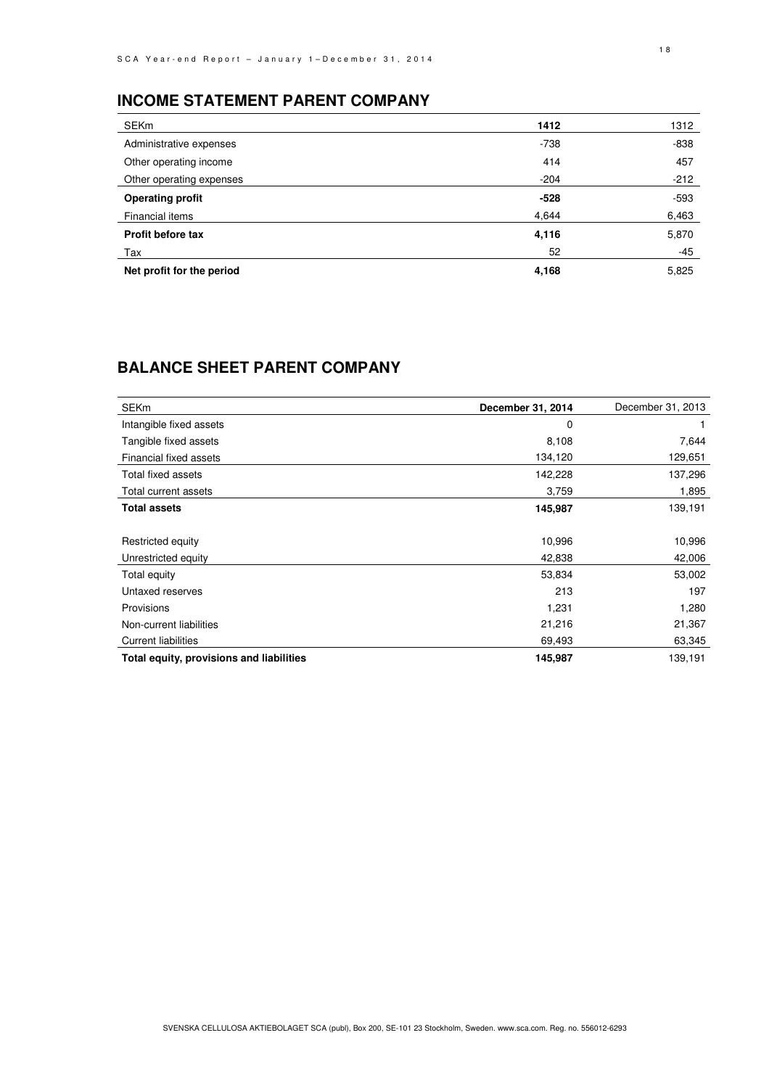### **INCOME STATEMENT PARENT COMPANY**

| <b>SEKm</b>               | 1412   | 1312   |
|---------------------------|--------|--------|
| Administrative expenses   | $-738$ | -838   |
| Other operating income    | 414    | 457    |
| Other operating expenses  | $-204$ | $-212$ |
| <b>Operating profit</b>   | $-528$ | $-593$ |
| Financial items           | 4,644  | 6,463  |
| Profit before tax         | 4,116  | 5,870  |
| Tax                       | 52     | $-45$  |
| Net profit for the period | 4,168  | 5,825  |

## **BALANCE SHEET PARENT COMPANY**

| <b>SEKm</b>                              | December 31, 2014 | December 31, 2013 |
|------------------------------------------|-------------------|-------------------|
| Intangible fixed assets                  | 0                 |                   |
| Tangible fixed assets                    | 8,108             | 7,644             |
| Financial fixed assets                   | 134,120           | 129,651           |
| Total fixed assets                       | 142,228           | 137,296           |
| Total current assets                     | 3,759             | 1,895             |
| <b>Total assets</b>                      | 145,987           | 139,191           |
|                                          |                   |                   |
| Restricted equity                        | 10,996            | 10,996            |
| Unrestricted equity                      | 42,838            | 42,006            |
| Total equity                             | 53,834            | 53,002            |
| Untaxed reserves                         | 213               | 197               |
| Provisions                               | 1,231             | 1,280             |
| Non-current liabilities                  | 21,216            | 21,367            |
| <b>Current liabilities</b>               | 69,493            | 63,345            |
| Total equity, provisions and liabilities | 145,987           | 139,191           |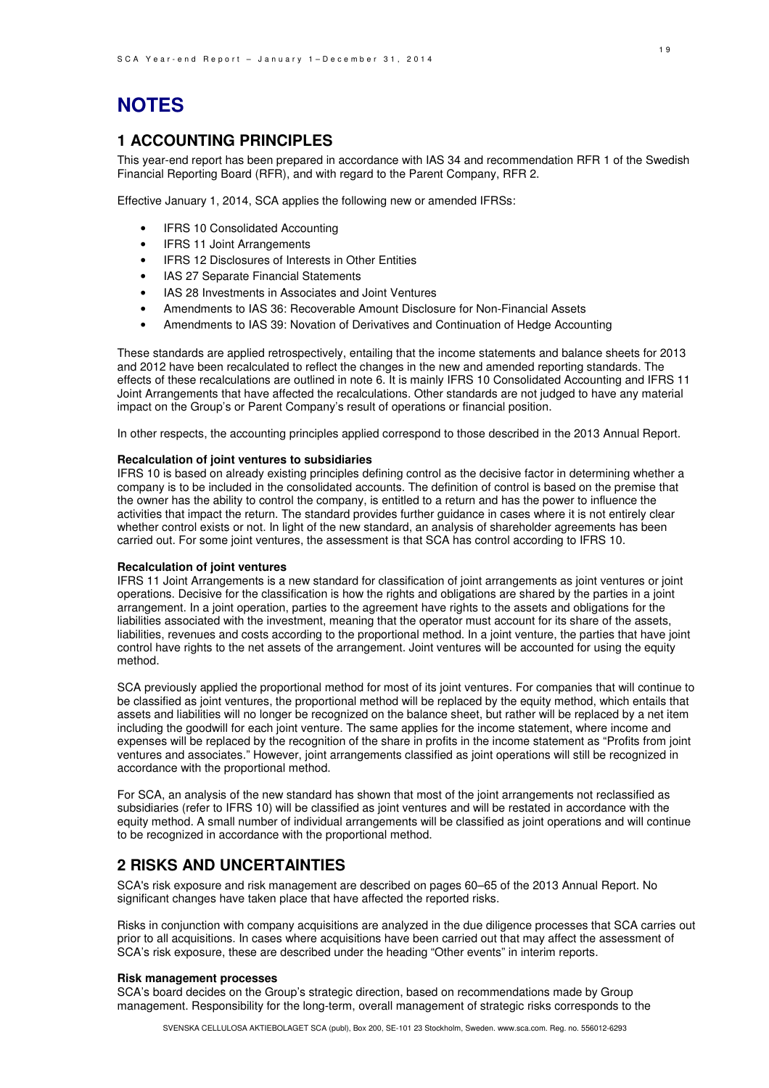### **NOTES**

### **1 ACCOUNTING PRINCIPLES**

This year-end report has been prepared in accordance with IAS 34 and recommendation RFR 1 of the Swedish Financial Reporting Board (RFR), and with regard to the Parent Company, RFR 2.

Effective January 1, 2014, SCA applies the following new or amended IFRSs:

- IFRS 10 Consolidated Accounting
- **IFRS 11 Joint Arrangements**
- IFRS 12 Disclosures of Interests in Other Entities
- IAS 27 Separate Financial Statements
- IAS 28 Investments in Associates and Joint Ventures
- Amendments to IAS 36: Recoverable Amount Disclosure for Non-Financial Assets
- Amendments to IAS 39: Novation of Derivatives and Continuation of Hedge Accounting

These standards are applied retrospectively, entailing that the income statements and balance sheets for 2013 and 2012 have been recalculated to reflect the changes in the new and amended reporting standards. The effects of these recalculations are outlined in note 6. It is mainly IFRS 10 Consolidated Accounting and IFRS 11 Joint Arrangements that have affected the recalculations. Other standards are not judged to have any material impact on the Group's or Parent Company's result of operations or financial position.

In other respects, the accounting principles applied correspond to those described in the 2013 Annual Report.

#### **Recalculation of joint ventures to subsidiaries**

IFRS 10 is based on already existing principles defining control as the decisive factor in determining whether a company is to be included in the consolidated accounts. The definition of control is based on the premise that the owner has the ability to control the company, is entitled to a return and has the power to influence the activities that impact the return. The standard provides further guidance in cases where it is not entirely clear whether control exists or not. In light of the new standard, an analysis of shareholder agreements has been carried out. For some joint ventures, the assessment is that SCA has control according to IFRS 10.

#### **Recalculation of joint ventures**

IFRS 11 Joint Arrangements is a new standard for classification of joint arrangements as joint ventures or joint operations. Decisive for the classification is how the rights and obligations are shared by the parties in a joint arrangement. In a joint operation, parties to the agreement have rights to the assets and obligations for the liabilities associated with the investment, meaning that the operator must account for its share of the assets, liabilities, revenues and costs according to the proportional method. In a joint venture, the parties that have joint control have rights to the net assets of the arrangement. Joint ventures will be accounted for using the equity method.

SCA previously applied the proportional method for most of its joint ventures. For companies that will continue to be classified as joint ventures, the proportional method will be replaced by the equity method, which entails that assets and liabilities will no longer be recognized on the balance sheet, but rather will be replaced by a net item including the goodwill for each joint venture. The same applies for the income statement, where income and expenses will be replaced by the recognition of the share in profits in the income statement as "Profits from joint ventures and associates." However, joint arrangements classified as joint operations will still be recognized in accordance with the proportional method.

For SCA, an analysis of the new standard has shown that most of the joint arrangements not reclassified as subsidiaries (refer to IFRS 10) will be classified as joint ventures and will be restated in accordance with the equity method. A small number of individual arrangements will be classified as joint operations and will continue to be recognized in accordance with the proportional method.

### **2 RISKS AND UNCERTAINTIES**

SCA's risk exposure and risk management are described on pages 60–65 of the 2013 Annual Report. No significant changes have taken place that have affected the reported risks.

Risks in conjunction with company acquisitions are analyzed in the due diligence processes that SCA carries out prior to all acquisitions. In cases where acquisitions have been carried out that may affect the assessment of SCA's risk exposure, these are described under the heading "Other events" in interim reports.

#### **Risk management processes**

SCA's board decides on the Group's strategic direction, based on recommendations made by Group management. Responsibility for the long-term, overall management of strategic risks corresponds to the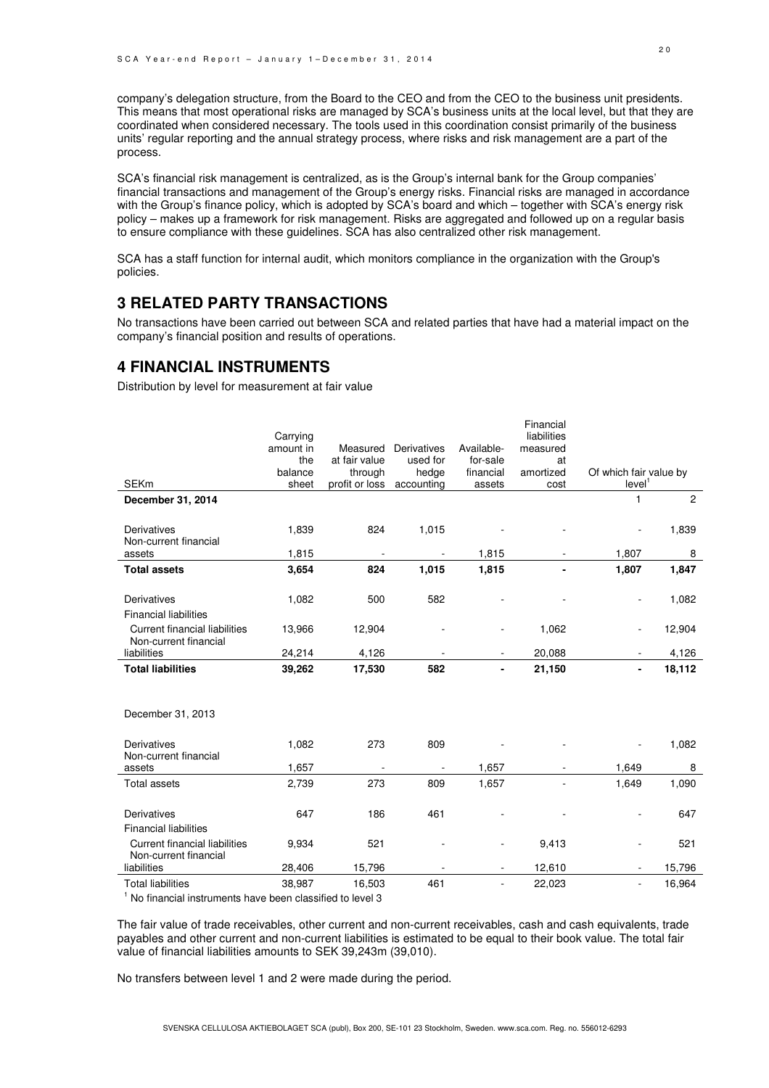company's delegation structure, from the Board to the CEO and from the CEO to the business unit presidents. This means that most operational risks are managed by SCA's business units at the local level, but that they are coordinated when considered necessary. The tools used in this coordination consist primarily of the business units' regular reporting and the annual strategy process, where risks and risk management are a part of the process.

SCA's financial risk management is centralized, as is the Group's internal bank for the Group companies' financial transactions and management of the Group's energy risks. Financial risks are managed in accordance with the Group's finance policy, which is adopted by SCA's board and which – together with SCA's energy risk policy – makes up a framework for risk management. Risks are aggregated and followed up on a regular basis to ensure compliance with these guidelines. SCA has also centralized other risk management.

SCA has a staff function for internal audit, which monitors compliance in the organization with the Group's policies.

### **3 RELATED PARTY TRANSACTIONS**

No transactions have been carried out between SCA and related parties that have had a material impact on the company's financial position and results of operations.

### **4 FINANCIAL INSTRUMENTS**

Distribution by level for measurement at fair value

|                                                               |           |                |                          |            | Financial   |                        |                |
|---------------------------------------------------------------|-----------|----------------|--------------------------|------------|-------------|------------------------|----------------|
|                                                               | Carrying  |                |                          |            | liabilities |                        |                |
|                                                               | amount in | Measured       | <b>Derivatives</b>       | Available- | measured    |                        |                |
|                                                               | the       | at fair value  | used for                 | for-sale   | at          |                        |                |
|                                                               | balance   | through        | hedge                    | financial  | amortized   | Of which fair value by |                |
| <b>SEKm</b>                                                   | sheet     | profit or loss | accounting               | assets     | cost        | level <sup>1</sup>     |                |
| December 31, 2014                                             |           |                |                          |            |             | 1                      | $\overline{2}$ |
|                                                               |           |                |                          |            |             |                        |                |
| Derivatives                                                   | 1,839     | 824            | 1,015                    |            |             |                        | 1,839          |
| Non-current financial                                         | 1,815     |                |                          | 1,815      |             | 1,807                  | 8              |
| assets                                                        |           |                |                          |            |             |                        |                |
| <b>Total assets</b>                                           | 3,654     | 824            | 1,015                    | 1,815      |             | 1,807                  | 1,847          |
| Derivatives                                                   | 1,082     | 500            | 582                      |            |             |                        | 1,082          |
|                                                               |           |                |                          |            |             |                        |                |
| <b>Financial liabilities</b>                                  |           |                |                          |            |             |                        |                |
| <b>Current financial liabilities</b><br>Non-current financial | 13,966    | 12,904         |                          |            | 1,062       |                        | 12,904         |
| liabilities                                                   | 24,214    | 4,126          |                          |            | 20,088      |                        | 4,126          |
| <b>Total liabilities</b>                                      | 39,262    | 17,530         | 582                      |            | 21,150      |                        | 18,112         |
|                                                               |           |                |                          |            |             |                        |                |
|                                                               |           |                |                          |            |             |                        |                |
| December 31, 2013                                             |           |                |                          |            |             |                        |                |
| <b>Derivatives</b>                                            | 1,082     | 273            | 809                      |            |             |                        | 1,082          |
| Non-current financial                                         |           |                |                          |            |             |                        |                |
| assets                                                        | 1,657     |                | $\overline{\phantom{a}}$ | 1,657      |             | 1,649                  | 8              |
| <b>Total assets</b>                                           | 2,739     | 273            | 809                      | 1,657      |             | 1,649                  | 1,090          |
|                                                               |           |                |                          |            |             |                        |                |
| Derivatives                                                   | 647       | 186            | 461                      |            |             |                        | 647            |
| <b>Financial liabilities</b>                                  |           |                |                          |            |             |                        |                |
| <b>Current financial liabilities</b><br>Non-current financial | 9,934     | 521            |                          |            | 9,413       |                        | 521            |
| liabilities                                                   | 28,406    | 15,796         |                          |            | 12,610      |                        | 15,796         |
| <b>Total liabilities</b>                                      | 38,987    | 16,503         | 461                      |            | 22,023      |                        | 16,964         |
|                                                               |           |                |                          |            |             |                        |                |

<sup>1</sup> No financial instruments have been classified to level 3

The fair value of trade receivables, other current and non-current receivables, cash and cash equivalents, trade payables and other current and non-current liabilities is estimated to be equal to their book value. The total fair value of financial liabilities amounts to SEK 39,243m (39,010).

No transfers between level 1 and 2 were made during the period.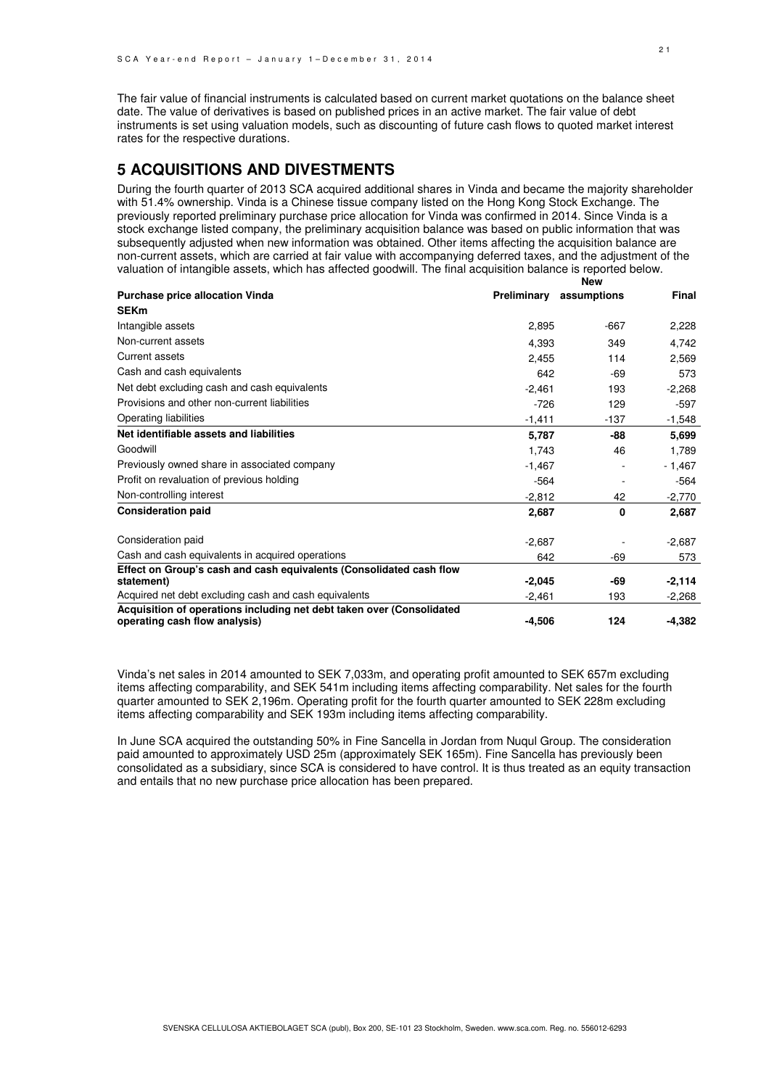The fair value of financial instruments is calculated based on current market quotations on the balance sheet date. The value of derivatives is based on published prices in an active market. The fair value of debt instruments is set using valuation models, such as discounting of future cash flows to quoted market interest rates for the respective durations.

### **5 ACQUISITIONS AND DIVESTMENTS**

During the fourth quarter of 2013 SCA acquired additional shares in Vinda and became the majority shareholder with 51.4% ownership. Vinda is a Chinese tissue company listed on the Hong Kong Stock Exchange. The previously reported preliminary purchase price allocation for Vinda was confirmed in 2014. Since Vinda is a stock exchange listed company, the preliminary acquisition balance was based on public information that was subsequently adjusted when new information was obtained. Other items affecting the acquisition balance are non-current assets, which are carried at fair value with accompanying deferred taxes, and the adjustment of the valuation of intangible assets, which has affected goodwill. The final acquisition balance is reported below. **New** 

| <b>Purchase price allocation Vinda</b>                                                                 | Preliminary | assumptions | Final    |
|--------------------------------------------------------------------------------------------------------|-------------|-------------|----------|
| <b>SEKm</b>                                                                                            |             |             |          |
| Intangible assets                                                                                      | 2,895       | $-667$      | 2,228    |
| Non-current assets                                                                                     | 4,393       | 349         | 4,742    |
| <b>Current assets</b>                                                                                  | 2,455       | 114         | 2,569    |
| Cash and cash equivalents                                                                              | 642         | $-69$       | 573      |
| Net debt excluding cash and cash equivalents                                                           | $-2,461$    | 193         | $-2,268$ |
| Provisions and other non-current liabilities                                                           | $-726$      | 129         | $-597$   |
| Operating liabilities                                                                                  | $-1,411$    | $-137$      | $-1,548$ |
| Net identifiable assets and liabilities                                                                | 5,787       | -88         | 5,699    |
| Goodwill                                                                                               | 1,743       | 46          | 1,789    |
| Previously owned share in associated company                                                           | $-1,467$    |             | $-1,467$ |
| Profit on revaluation of previous holding                                                              | $-564$      |             | $-564$   |
| Non-controlling interest                                                                               | $-2,812$    | 42          | $-2,770$ |
| <b>Consideration paid</b>                                                                              | 2,687       | 0           | 2,687    |
| Consideration paid                                                                                     | $-2,687$    |             | $-2,687$ |
| Cash and cash equivalents in acquired operations                                                       | 642         | $-69$       | 573      |
| Effect on Group's cash and cash equivalents (Consolidated cash flow                                    |             |             |          |
| statement)                                                                                             | $-2,045$    | -69         | $-2,114$ |
| Acquired net debt excluding cash and cash equivalents                                                  | $-2,461$    | 193         | $-2,268$ |
| Acquisition of operations including net debt taken over (Consolidated<br>operating cash flow analysis) | $-4,506$    | 124         | $-4,382$ |

Vinda's net sales in 2014 amounted to SEK 7,033m, and operating profit amounted to SEK 657m excluding items affecting comparability, and SEK 541m including items affecting comparability. Net sales for the fourth quarter amounted to SEK 2,196m. Operating profit for the fourth quarter amounted to SEK 228m excluding items affecting comparability and SEK 193m including items affecting comparability.

In June SCA acquired the outstanding 50% in Fine Sancella in Jordan from Nuqul Group. The consideration paid amounted to approximately USD 25m (approximately SEK 165m). Fine Sancella has previously been consolidated as a subsidiary, since SCA is considered to have control. It is thus treated as an equity transaction and entails that no new purchase price allocation has been prepared.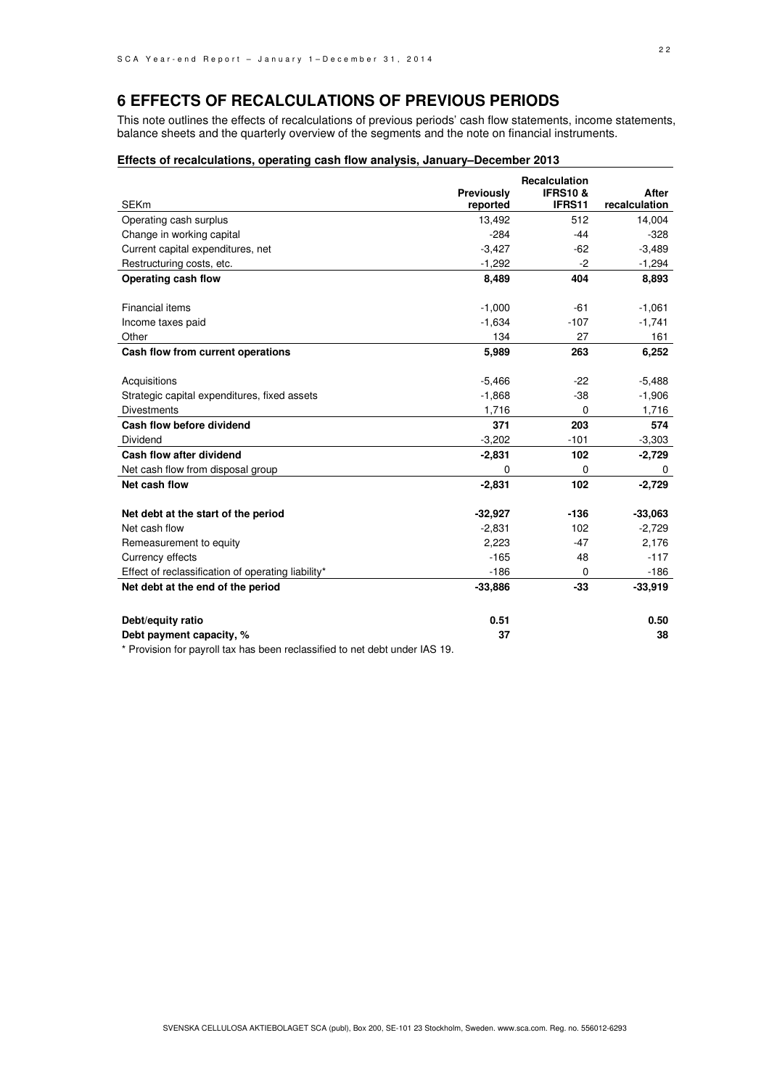### **6 EFFECTS OF RECALCULATIONS OF PREVIOUS PERIODS**

This note outlines the effects of recalculations of previous periods' cash flow statements, income statements, balance sheets and the quarterly overview of the segments and the note on financial instruments.

#### **Effects of recalculations, operating cash flow analysis, January–December 2013**

|                                                    |                        | <b>Recalculation</b>         |                               |
|----------------------------------------------------|------------------------|------------------------------|-------------------------------|
| <b>SEKm</b>                                        | Previously<br>reported | <b>IFRS10&amp;</b><br>IFRS11 | <b>After</b><br>recalculation |
| Operating cash surplus                             | 13,492                 | 512                          | 14,004                        |
| Change in working capital                          | $-284$                 | $-44$                        | $-328$                        |
| Current capital expenditures, net                  | $-3,427$               | $-62$                        | $-3,489$                      |
| Restructuring costs, etc.                          | $-1,292$               | $-2$                         | $-1,294$                      |
| Operating cash flow                                | 8,489                  | 404                          | 8,893                         |
| Financial items                                    | $-1,000$               | $-61$                        | $-1,061$                      |
| Income taxes paid                                  | $-1,634$               | $-107$                       | $-1,741$                      |
| Other                                              | 134                    | 27                           | 161                           |
| Cash flow from current operations                  | 5,989                  | 263                          | 6,252                         |
| Acquisitions                                       | $-5,466$               | $-22$                        | $-5,488$                      |
| Strategic capital expenditures, fixed assets       | $-1,868$               | $-38$                        | $-1,906$                      |
| <b>Divestments</b>                                 | 1,716                  | 0                            | 1,716                         |
| Cash flow before dividend                          | 371                    | 203                          | 574                           |
| Dividend                                           | $-3,202$               | $-101$                       | $-3,303$                      |
| Cash flow after dividend                           | $-2,831$               | 102                          | $-2,729$                      |
| Net cash flow from disposal group                  | 0                      | 0                            | 0                             |
| Net cash flow                                      | $-2,831$               | 102                          | $-2,729$                      |
| Net debt at the start of the period                | $-32,927$              | $-136$                       | $-33,063$                     |
| Net cash flow                                      | $-2,831$               | 102                          | $-2,729$                      |
| Remeasurement to equity                            | 2,223                  | $-47$                        | 2,176                         |
| Currency effects                                   | $-165$                 | 48                           | $-117$                        |
| Effect of reclassification of operating liability* | $-186$                 | 0                            | $-186$                        |
| Net debt at the end of the period                  | $-33,886$              | $-33$                        | $-33,919$                     |
| Debt/equity ratio                                  | 0.51                   |                              | 0.50                          |
| Debt payment capacity, %                           | 37                     |                              | 38                            |
|                                                    |                        |                              |                               |

\* Provision for payroll tax has been reclassified to net debt under IAS 19.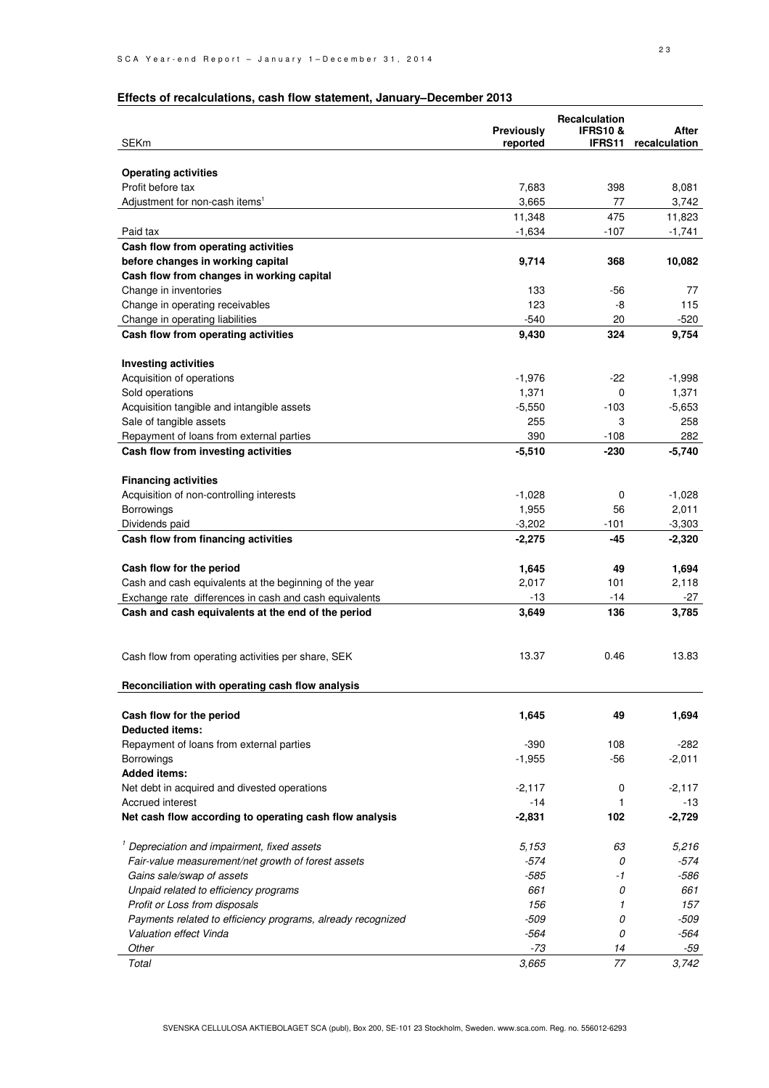### **Effects of recalculations, cash flow statement, January–December 2013**

| <b>SEKm</b>                                                 | Previously<br>reported | <b>Recalculation</b><br><b>IFRS10 &amp;</b><br><b>IFRS11</b> | After<br>recalculation |
|-------------------------------------------------------------|------------------------|--------------------------------------------------------------|------------------------|
|                                                             |                        |                                                              |                        |
| <b>Operating activities</b>                                 |                        |                                                              |                        |
| Profit before tax                                           | 7,683                  | 398                                                          | 8,081                  |
| Adjustment for non-cash items <sup>1</sup>                  | 3,665                  | 77                                                           | 3,742                  |
|                                                             | 11,348                 | 475                                                          | 11,823                 |
| Paid tax                                                    | $-1,634$               | $-107$                                                       | $-1,741$               |
| Cash flow from operating activities                         |                        |                                                              |                        |
| before changes in working capital                           | 9,714                  | 368                                                          | 10,082                 |
| Cash flow from changes in working capital                   |                        |                                                              |                        |
| Change in inventories                                       | 133                    | -56                                                          | 77                     |
| Change in operating receivables                             | 123                    | -8                                                           | 115                    |
| Change in operating liabilities                             | $-540$                 | 20                                                           | $-520$                 |
| Cash flow from operating activities                         | 9,430                  | 324                                                          | 9,754                  |
|                                                             |                        |                                                              |                        |
| <b>Investing activities</b>                                 |                        |                                                              |                        |
| Acquisition of operations                                   | $-1,976$               | $-22$                                                        | $-1,998$               |
| Sold operations                                             | 1,371                  | 0                                                            | 1,371                  |
| Acquisition tangible and intangible assets                  | $-5,550$               | $-103$                                                       | $-5,653$               |
| Sale of tangible assets                                     | 255                    | 3                                                            | 258                    |
| Repayment of loans from external parties                    | 390                    | $-108$                                                       | 282                    |
| Cash flow from investing activities                         | $-5,510$               | $-230$                                                       | $-5,740$               |
|                                                             |                        |                                                              |                        |
| <b>Financing activities</b>                                 |                        |                                                              |                        |
| Acquisition of non-controlling interests                    | $-1,028$               | 0                                                            | $-1,028$               |
| Borrowings                                                  | 1,955                  | 56                                                           | 2,011                  |
| Dividends paid                                              | $-3,202$               | -101                                                         | $-3,303$               |
| Cash flow from financing activities                         | $-2,275$               | -45                                                          | $-2,320$               |
|                                                             |                        |                                                              |                        |
| Cash flow for the period                                    | 1,645                  | 49                                                           | 1,694                  |
| Cash and cash equivalents at the beginning of the year      | 2,017                  | 101                                                          | 2,118                  |
| Exchange rate differences in cash and cash equivalents      | $-13$                  | $-14$                                                        | -27                    |
| Cash and cash equivalents at the end of the period          | 3,649                  | 136                                                          | 3,785                  |
|                                                             |                        |                                                              |                        |
| Cash flow from operating activities per share, SEK          | 13.37                  | 0.46                                                         | 13.83                  |
| Reconciliation with operating cash flow analysis            |                        |                                                              |                        |
| Cash flow for the period                                    | 1,645                  | 49                                                           | 1,694                  |
| <b>Deducted items:</b>                                      |                        |                                                              |                        |
| Repayment of loans from external parties                    | $-390$                 | 108                                                          | $-282$                 |
| <b>Borrowings</b>                                           | $-1,955$               | $-56$                                                        | $-2,011$               |
| <b>Added items:</b>                                         |                        |                                                              |                        |
| Net debt in acquired and divested operations                | $-2,117$               | 0                                                            | $-2,117$               |
| Accrued interest                                            | -14                    | 1                                                            | -13                    |
| Net cash flow according to operating cash flow analysis     | $-2,831$               | 102                                                          | $-2,729$               |
| <sup>1</sup> Depreciation and impairment, fixed assets      | 5,153                  | 63                                                           | 5,216                  |
| Fair-value measurement/net growth of forest assets          | $-574$                 | 0                                                            | -574                   |
| Gains sale/swap of assets                                   | $-585$                 | -1                                                           | -586                   |
| Unpaid related to efficiency programs                       | 661                    | 0                                                            | 661                    |
| Profit or Loss from disposals                               | 156                    | $\mathbf{1}$                                                 | 157                    |
| Payments related to efficiency programs, already recognized | $-509$                 | 0                                                            | $-509$                 |
| Valuation effect Vinda                                      | -564                   | 0                                                            | -564                   |
| Other                                                       | $-73$                  | 14                                                           | -59                    |
| Total                                                       | 3,665                  | 77                                                           | 3,742                  |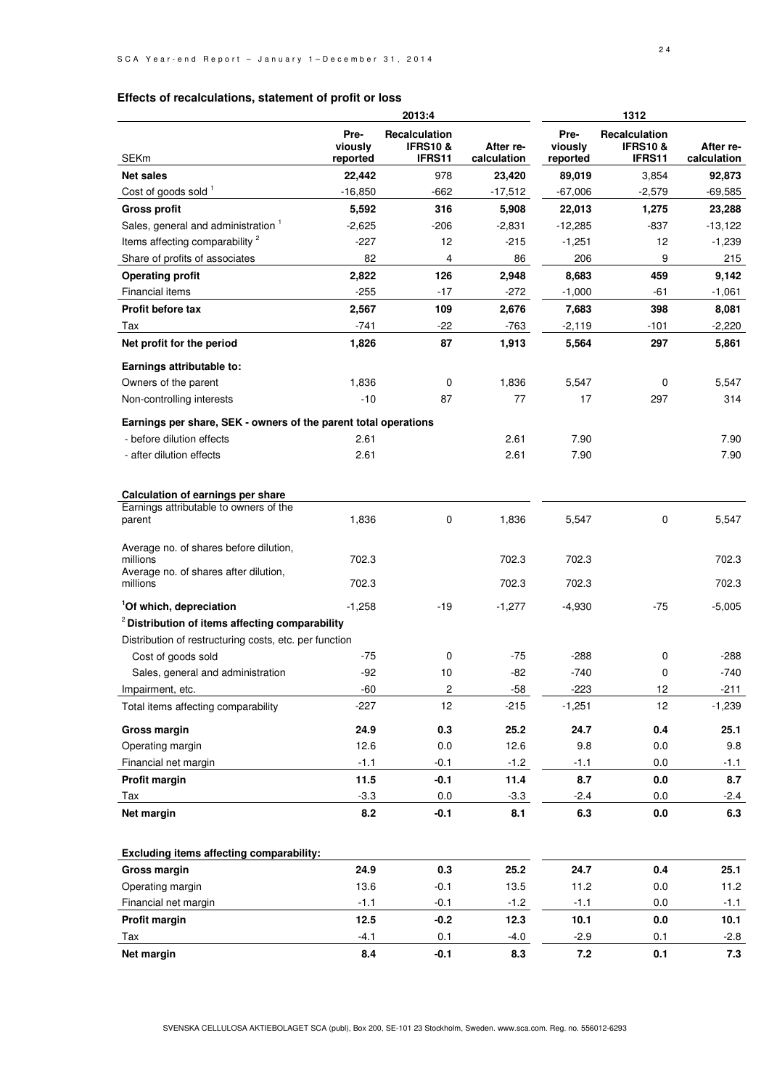### **Effects of recalculations, statement of profit or loss**

|                                                                 | 2013:4                      |                                               |                          |                             | 1312                                                         |                          |
|-----------------------------------------------------------------|-----------------------------|-----------------------------------------------|--------------------------|-----------------------------|--------------------------------------------------------------|--------------------------|
| <b>SEKm</b>                                                     | Pre-<br>viously<br>reported | Recalculation<br><b>IFRS10&amp;</b><br>IFRS11 | After re-<br>calculation | Pre-<br>viously<br>reported | <b>Recalculation</b><br><b>IFRS10 &amp;</b><br><b>IFRS11</b> | After re-<br>calculation |
| <b>Net sales</b>                                                | 22,442                      | 978                                           | 23,420                   | 89,019                      | 3,854                                                        | 92,873                   |
| Cost of goods sold 1                                            | $-16,850$                   | $-662$                                        | $-17,512$                | $-67,006$                   | $-2,579$                                                     | $-69,585$                |
| <b>Gross profit</b>                                             | 5,592                       | 316                                           | 5,908                    | 22,013                      | 1,275                                                        | 23,288                   |
| Sales, general and administration <sup>1</sup>                  | $-2,625$                    | $-206$                                        | $-2,831$                 | $-12,285$                   | $-837$                                                       | $-13,122$                |
| Items affecting comparability <sup>2</sup>                      | $-227$                      | 12                                            | $-215$                   | $-1,251$                    | 12                                                           | $-1,239$                 |
| Share of profits of associates                                  | 82                          | 4                                             | 86                       | 206                         | 9                                                            | 215                      |
| <b>Operating profit</b>                                         | 2,822                       | 126                                           | 2,948                    | 8,683                       | 459                                                          | 9,142                    |
| Financial items                                                 | $-255$                      | $-17$                                         | $-272$                   | $-1,000$                    | -61                                                          | $-1,061$                 |
| Profit before tax                                               | 2,567                       | 109                                           | 2,676                    | 7,683                       | 398                                                          | 8,081                    |
| Tax                                                             | $-741$                      | $-22$                                         | -763                     | $-2,119$                    | $-101$                                                       | $-2,220$                 |
| Net profit for the period                                       | 1,826                       | 87                                            | 1,913                    | 5,564                       | 297                                                          | 5,861                    |
|                                                                 |                             |                                               |                          |                             |                                                              |                          |
| Earnings attributable to:                                       |                             |                                               |                          |                             |                                                              |                          |
| Owners of the parent                                            | 1,836                       | $\mathbf 0$                                   | 1,836                    | 5,547                       | 0                                                            | 5,547                    |
| Non-controlling interests                                       | $-10$                       | 87                                            | 77                       | 17                          | 297                                                          | 314                      |
| Earnings per share, SEK - owners of the parent total operations |                             |                                               |                          |                             |                                                              |                          |
| - before dilution effects                                       | 2.61                        |                                               | 2.61                     | 7.90                        |                                                              | 7.90                     |
| - after dilution effects                                        | 2.61                        |                                               | 2.61                     | 7.90                        |                                                              | 7.90                     |
|                                                                 |                             |                                               |                          |                             |                                                              |                          |
| Calculation of earnings per share                               |                             |                                               |                          |                             |                                                              |                          |
| Earnings attributable to owners of the<br>parent                | 1,836                       | 0                                             | 1,836                    | 5,547                       | $\mathbf 0$                                                  | 5,547                    |
|                                                                 |                             |                                               |                          |                             |                                                              |                          |
| Average no. of shares before dilution,<br>millions              | 702.3                       |                                               | 702.3                    | 702.3                       |                                                              | 702.3                    |
| Average no. of shares after dilution,<br>millions               | 702.3                       |                                               | 702.3                    | 702.3                       |                                                              | 702.3                    |
| <sup>1</sup> Of which, depreciation                             | $-1,258$                    | $-19$                                         | $-1,277$                 | $-4,930$                    | $-75$                                                        | $-5,005$                 |
| <sup>2</sup> Distribution of items affecting comparability      |                             |                                               |                          |                             |                                                              |                          |
| Distribution of restructuring costs, etc. per function          |                             |                                               |                          |                             |                                                              |                          |
| Cost of goods sold                                              | $-75$                       | 0                                             | $-75$                    | -288                        | 0                                                            | -288                     |
| Sales, general and administration                               | $-92$                       | 10                                            | $-82$                    | $-740$                      | 0                                                            | $-740$                   |
| Impairment, etc.                                                | -60                         | 2                                             | $-58$                    | $-223$                      | 12                                                           | $-211$                   |
| Total items affecting comparability                             | $-227$                      | 12                                            | $-215$                   | $-1,251$                    | 12                                                           | $-1,239$                 |
| <b>Gross margin</b>                                             | 24.9                        | 0.3                                           | 25.2                     | 24.7                        | 0.4                                                          | 25.1                     |
| Operating margin                                                | 12.6                        | 0.0                                           | 12.6                     | 9.8                         | 0.0                                                          | 9.8                      |
| Financial net margin                                            | $-1.1$                      | $-0.1$                                        | $-1.2$                   | $-1.1$                      | 0.0                                                          | $-1.1$                   |
| Profit margin                                                   | 11.5                        | $-0.1$                                        | 11.4                     | 8.7                         | 0.0                                                          | 8.7                      |
| Tax                                                             | $-3.3$                      | 0.0                                           | $-3.3$                   | $-2.4$                      | 0.0                                                          | $-2.4$                   |
| Net margin                                                      | 8.2                         | $-0.1$                                        | 8.1                      | 6.3                         | 0.0                                                          | 6.3                      |
|                                                                 |                             |                                               |                          |                             |                                                              |                          |
| Excluding items affecting comparability:                        |                             |                                               |                          |                             |                                                              |                          |
| Gross margin                                                    | 24.9                        | 0.3                                           | 25.2                     | 24.7                        | 0.4                                                          | 25.1                     |
| Operating margin                                                | 13.6                        | $-0.1$                                        | 13.5                     | 11.2                        | 0.0                                                          | 11.2                     |
| Financial net margin                                            | $-1.1$                      | $-0.1$                                        | $-1.2$                   | $-1.1$                      | 0.0                                                          | $-1.1$                   |
| Profit margin                                                   | 12.5                        | $-0.2$                                        | 12.3                     | 10.1                        | 0.0                                                          | 10.1                     |
| Tax                                                             | $-4.1$                      | 0.1                                           | $-4.0$                   | $-2.9$                      | 0.1                                                          | $-2.8$                   |
| Net margin                                                      | 8.4                         | $-0.1$                                        | 8.3                      | 7.2                         | 0.1                                                          | 7.3                      |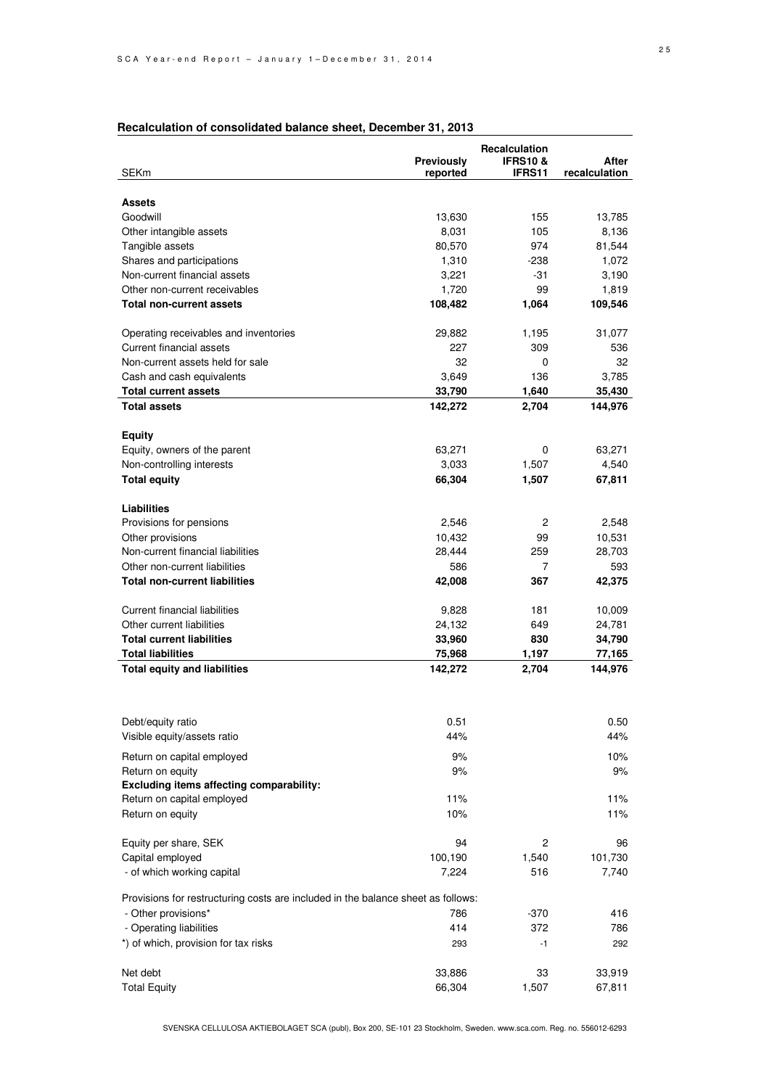|                                                                                  | Previously      | Recalculation<br><b>IFRS10&amp;</b> | After                |
|----------------------------------------------------------------------------------|-----------------|-------------------------------------|----------------------|
| <b>SEKm</b>                                                                      | reported        | <b>IFRS11</b>                       | <b>recalculation</b> |
|                                                                                  |                 |                                     |                      |
| <b>Assets</b>                                                                    |                 |                                     |                      |
| Goodwill                                                                         | 13,630          | 155                                 | 13,785               |
| Other intangible assets                                                          | 8,031           | 105                                 | 8,136                |
| Tangible assets                                                                  | 80,570          | 974                                 | 81,544               |
| Shares and participations                                                        | 1,310           | -238                                | 1,072                |
| Non-current financial assets                                                     | 3,221           | -31                                 | 3,190                |
| Other non-current receivables                                                    | 1,720           | 99                                  | 1,819                |
| <b>Total non-current assets</b>                                                  | 108,482         | 1,064                               | 109,546              |
|                                                                                  |                 |                                     |                      |
| Operating receivables and inventories                                            | 29,882          | 1,195                               | 31,077               |
| Current financial assets<br>Non-current assets held for sale                     | 227<br>32       | 309<br>0                            | 536<br>32            |
|                                                                                  |                 |                                     |                      |
| Cash and cash equivalents<br><b>Total current assets</b>                         | 3,649<br>33,790 | 136<br>1,640                        | 3,785<br>35,430      |
| <b>Total assets</b>                                                              | 142,272         | 2,704                               | 144,976              |
|                                                                                  |                 |                                     |                      |
| <b>Equity</b>                                                                    |                 |                                     |                      |
| Equity, owners of the parent                                                     | 63,271          | 0                                   | 63,271               |
| Non-controlling interests                                                        | 3,033           | 1,507                               | 4,540                |
| <b>Total equity</b>                                                              | 66,304          | 1,507                               | 67,811               |
|                                                                                  |                 |                                     |                      |
| Liabilities                                                                      |                 |                                     |                      |
| Provisions for pensions                                                          | 2,546           | 2                                   | 2,548                |
| Other provisions                                                                 | 10,432          | 99                                  | 10,531               |
| Non-current financial liabilities                                                | 28,444          | 259                                 | 28,703               |
| Other non-current liabilities                                                    | 586             | 7                                   | 593                  |
| <b>Total non-current liabilities</b>                                             | 42,008          | 367                                 | 42,375               |
|                                                                                  |                 |                                     |                      |
| Current financial liabilities                                                    | 9,828           | 181                                 | 10,009               |
| Other current liabilities                                                        | 24,132          | 649                                 | 24,781               |
| <b>Total current liabilities</b>                                                 | 33,960          | 830                                 | 34,790               |
| <b>Total liabilities</b>                                                         | 75,968          | 1,197                               | 77,165               |
| <b>Total equity and liabilities</b>                                              | 142,272         | 2,704                               | 144,976              |
|                                                                                  |                 |                                     |                      |
|                                                                                  |                 |                                     |                      |
| Debt/equity ratio                                                                | 0.51            |                                     | 0.50                 |
| Visible equity/assets ratio                                                      | 44%             |                                     | 44%                  |
|                                                                                  | 9%              |                                     |                      |
| Return on capital employed                                                       | 9%              |                                     | 10%                  |
| Return on equity<br>Excluding items affecting comparability:                     |                 |                                     | 9%                   |
| Return on capital employed                                                       | 11%             |                                     | 11%                  |
| Return on equity                                                                 | 10%             |                                     | 11%                  |
|                                                                                  |                 |                                     |                      |
| Equity per share, SEK                                                            | 94              | $\overline{2}$                      | 96                   |
| Capital employed                                                                 | 100,190         | 1,540                               | 101,730              |
| - of which working capital                                                       | 7,224           | 516                                 | 7,740                |
|                                                                                  |                 |                                     |                      |
| Provisions for restructuring costs are included in the balance sheet as follows: |                 |                                     |                      |
| - Other provisions*                                                              | 786             | $-370$                              | 416                  |
| - Operating liabilities                                                          | 414             | 372                                 | 786                  |
| *) of which, provision for tax risks                                             | 293             | $-1$                                | 292                  |
|                                                                                  |                 |                                     |                      |
| Net debt                                                                         | 33,886          | 33                                  | 33,919               |
| <b>Total Equity</b>                                                              | 66,304          | 1,507                               | 67,811               |

### **Recalculation of consolidated balance sheet, December 31, 2013**

SVENSKA CELLULOSA AKTIEBOLAGET SCA (publ), Box 200, SE-101 23 Stockholm, Sweden. www.sca.com. Reg. no. 556012-6293

Total Equity 66,304 1,507 67,811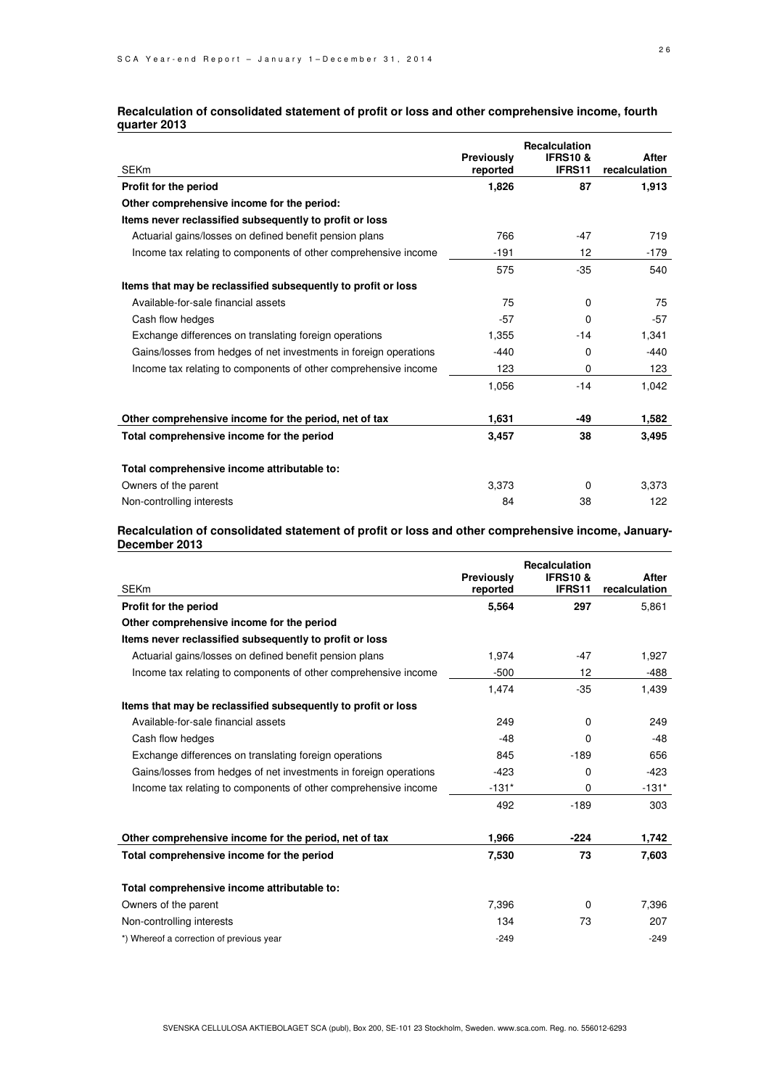#### **Recalculation of consolidated statement of profit or loss and other comprehensive income, fourth quarter 2013**

| <b>SEKm</b>                                                       | Previously<br>reported | <b>Recalculation</b><br><b>IFRS10 &amp;</b><br>IFRS11 | After<br>recalculation |
|-------------------------------------------------------------------|------------------------|-------------------------------------------------------|------------------------|
| Profit for the period                                             | 1,826                  | 87                                                    | 1,913                  |
| Other comprehensive income for the period:                        |                        |                                                       |                        |
| Items never reclassified subsequently to profit or loss           |                        |                                                       |                        |
| Actuarial gains/losses on defined benefit pension plans           | 766                    | $-47$                                                 | 719                    |
| Income tax relating to components of other comprehensive income   | $-191$                 | 12                                                    | $-179$                 |
|                                                                   | 575                    | $-35$                                                 | 540                    |
| Items that may be reclassified subsequently to profit or loss     |                        |                                                       |                        |
| Available-for-sale financial assets                               | 75                     | 0                                                     | 75                     |
| Cash flow hedges                                                  | $-57$                  | 0                                                     | $-57$                  |
| Exchange differences on translating foreign operations            | 1,355                  | $-14$                                                 | 1,341                  |
| Gains/losses from hedges of net investments in foreign operations | $-440$                 | 0                                                     | $-440$                 |
| Income tax relating to components of other comprehensive income   | 123                    | 0                                                     | 123                    |
|                                                                   | 1,056                  | $-14$                                                 | 1,042                  |
| Other comprehensive income for the period, net of tax             | 1,631                  | -49                                                   | 1,582                  |
| Total comprehensive income for the period                         | 3,457                  | 38                                                    | 3,495                  |
| Total comprehensive income attributable to:                       |                        |                                                       |                        |
| Owners of the parent                                              | 3,373                  | 0                                                     | 3,373                  |
| Non-controlling interests                                         | 84                     | 38                                                    | 122                    |

#### **Recalculation of consolidated statement of profit or loss and other comprehensive income, January-December 2013**

| <b>SEKm</b>                                                       | Previously<br>reported | <b>Recalculation</b><br><b>IFRS10&amp;</b><br>IFRS11 | After<br>recalculation |
|-------------------------------------------------------------------|------------------------|------------------------------------------------------|------------------------|
| Profit for the period                                             | 5,564                  | 297                                                  | 5,861                  |
| Other comprehensive income for the period                         |                        |                                                      |                        |
| Items never reclassified subsequently to profit or loss           |                        |                                                      |                        |
| Actuarial gains/losses on defined benefit pension plans           | 1,974                  | $-47$                                                | 1,927                  |
| Income tax relating to components of other comprehensive income   | $-500$                 | 12                                                   | -488                   |
|                                                                   | 1,474                  | $-35$                                                | 1,439                  |
| Items that may be reclassified subsequently to profit or loss     |                        |                                                      |                        |
| Available-for-sale financial assets                               | 249                    | $\Omega$                                             | 249                    |
| Cash flow hedges                                                  | $-48$                  | 0                                                    | -48                    |
| Exchange differences on translating foreign operations            | 845                    | $-189$                                               | 656                    |
| Gains/losses from hedges of net investments in foreign operations | $-423$                 | 0                                                    | $-423$                 |
| Income tax relating to components of other comprehensive income   | $-131*$                | 0                                                    | $-131*$                |
|                                                                   | 492                    | $-189$                                               | 303                    |
| Other comprehensive income for the period, net of tax             | 1,966                  | $-224$                                               | 1,742                  |
| Total comprehensive income for the period                         | 7,530                  | 73                                                   | 7,603                  |
| Total comprehensive income attributable to:                       |                        |                                                      |                        |
| Owners of the parent                                              | 7,396                  | 0                                                    | 7,396                  |
| Non-controlling interests                                         | 134                    | 73                                                   | 207                    |
| *) Whereof a correction of previous year                          | $-249$                 |                                                      | $-249$                 |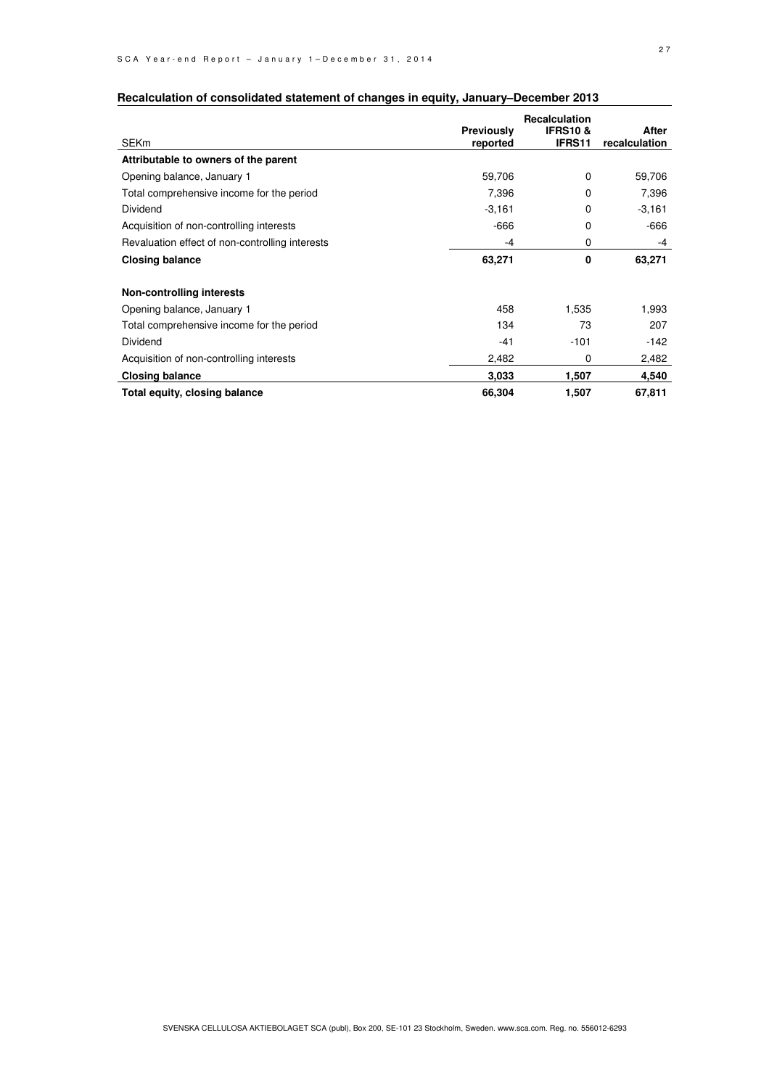|                                                 |                   | <b>Recalculation</b> |               |
|-------------------------------------------------|-------------------|----------------------|---------------|
|                                                 | <b>Previously</b> | <b>IFRS10&amp;</b>   | After         |
| SEKm                                            | reported          | <b>IFRS11</b>        | recalculation |
| Attributable to owners of the parent            |                   |                      |               |
| Opening balance, January 1                      | 59,706            | $\Omega$             | 59,706        |
| Total comprehensive income for the period       | 7,396             | $\Omega$             | 7,396         |
| <b>Dividend</b>                                 | $-3,161$          | 0                    | $-3,161$      |
| Acquisition of non-controlling interests        | $-666$            | 0                    | -666          |
| Revaluation effect of non-controlling interests | -4                | 0                    | $-4$          |
| <b>Closing balance</b>                          | 63,271            | 0                    | 63,271        |
| <b>Non-controlling interests</b>                |                   |                      |               |
| Opening balance, January 1                      | 458               | 1,535                | 1,993         |
| Total comprehensive income for the period       | 134               | 73                   | 207           |
| Dividend                                        | $-41$             | $-101$               | $-142$        |
| Acquisition of non-controlling interests        | 2,482             | 0                    | 2,482         |
| <b>Closing balance</b>                          | 3.033             | 1,507                | 4,540         |
| Total equity, closing balance                   | 66,304            | 1,507                | 67,811        |

### **Recalculation of consolidated statement of changes in equity, January–December 2013**